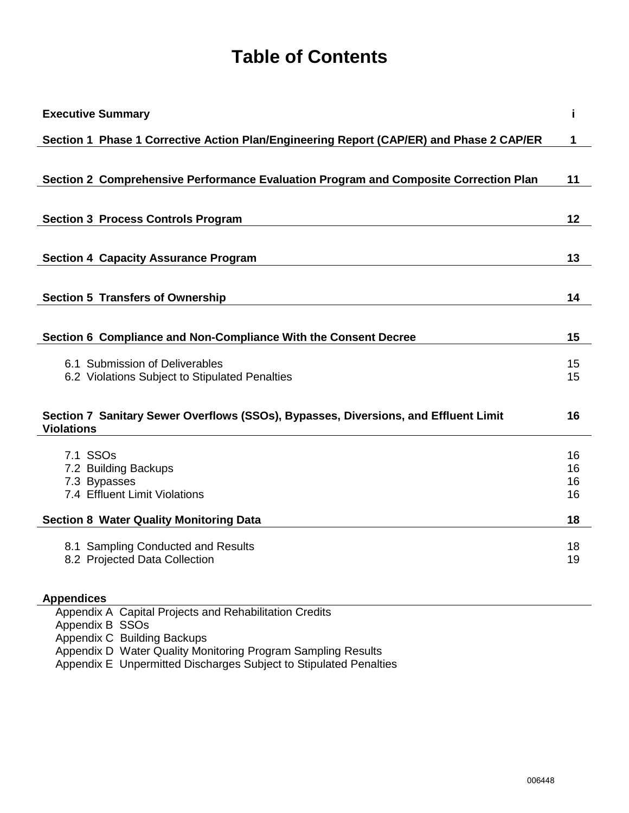# **Table of Contents**

| <b>Executive Summary</b>                                                                                 | i        |
|----------------------------------------------------------------------------------------------------------|----------|
| Section 1 Phase 1 Corrective Action Plan/Engineering Report (CAP/ER) and Phase 2 CAP/ER                  | 1        |
|                                                                                                          |          |
| Section 2 Comprehensive Performance Evaluation Program and Composite Correction Plan                     | 11       |
|                                                                                                          |          |
| <b>Section 3 Process Controls Program</b>                                                                | 12       |
| <b>Section 4 Capacity Assurance Program</b>                                                              | 13       |
|                                                                                                          |          |
| <b>Section 5 Transfers of Ownership</b>                                                                  | 14       |
|                                                                                                          |          |
| Section 6 Compliance and Non-Compliance With the Consent Decree                                          | 15       |
| 6.1 Submission of Deliverables                                                                           | 15       |
| 6.2 Violations Subject to Stipulated Penalties                                                           | 15       |
|                                                                                                          |          |
| Section 7 Sanitary Sewer Overflows (SSOs), Bypasses, Diversions, and Effluent Limit<br><b>Violations</b> | 16       |
| 7.1 SSO <sub>s</sub>                                                                                     | 16       |
| 7.2 Building Backups                                                                                     | 16       |
| 7.3 Bypasses<br>7.4 Effluent Limit Violations                                                            | 16<br>16 |
|                                                                                                          |          |
| <b>Section 8 Water Quality Monitoring Data</b>                                                           | 18       |
| 8.1 Sampling Conducted and Results                                                                       | 18       |
| 8.2 Projected Data Collection                                                                            | 19       |
| <b>Appendices</b>                                                                                        |          |
| Appendix A Capital Projects and Rehabilitation Credits                                                   |          |
| Appendix B SSOs<br>Appendix C Building Backups                                                           |          |

Appendix D Water Quality Monitoring Program Sampling Results

Appendix E Unpermitted Discharges Subject to Stipulated Penalties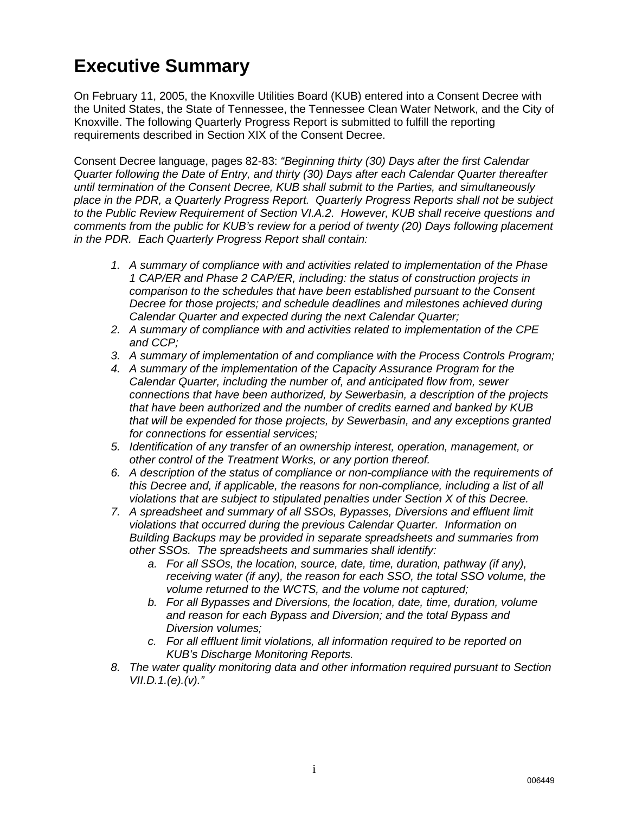### **Executive Summary**

On February 11, 2005, the Knoxville Utilities Board (KUB) entered into a Consent Decree with the United States, the State of Tennessee, the Tennessee Clean Water Network, and the City of Knoxville. The following Quarterly Progress Report is submitted to fulfill the reporting requirements described in Section XIX of the Consent Decree.

Consent Decree language, pages 82-83: *"Beginning thirty (30) Days after the first Calendar Quarter following the Date of Entry, and thirty (30) Days after each Calendar Quarter thereafter until termination of the Consent Decree, KUB shall submit to the Parties, and simultaneously place in the PDR, a Quarterly Progress Report. Quarterly Progress Reports shall not be subject to the Public Review Requirement of Section VI.A.2. However, KUB shall receive questions and comments from the public for KUB's review for a period of twenty (20) Days following placement in the PDR. Each Quarterly Progress Report shall contain:*

- *1. A summary of compliance with and activities related to implementation of the Phase 1 CAP/ER and Phase 2 CAP/ER, including: the status of construction projects in comparison to the schedules that have been established pursuant to the Consent Decree for those projects; and schedule deadlines and milestones achieved during Calendar Quarter and expected during the next Calendar Quarter;*
- *2. A summary of compliance with and activities related to implementation of the CPE and CCP;*
- *3. A summary of implementation of and compliance with the Process Controls Program;*
- *4. A summary of the implementation of the Capacity Assurance Program for the Calendar Quarter, including the number of, and anticipated flow from, sewer connections that have been authorized, by Sewerbasin, a description of the projects that have been authorized and the number of credits earned and banked by KUB that will be expended for those projects, by Sewerbasin, and any exceptions granted for connections for essential services;*
- *5. Identification of any transfer of an ownership interest, operation, management, or other control of the Treatment Works, or any portion thereof.*
- *6. A description of the status of compliance or non-compliance with the requirements of this Decree and, if applicable, the reasons for non-compliance, including a list of all violations that are subject to stipulated penalties under Section X of this Decree.*
- *7. A spreadsheet and summary of all SSOs, Bypasses, Diversions and effluent limit violations that occurred during the previous Calendar Quarter. Information on Building Backups may be provided in separate spreadsheets and summaries from other SSOs. The spreadsheets and summaries shall identify:*
	- *a. For all SSOs, the location, source, date, time, duration, pathway (if any), receiving water (if any), the reason for each SSO, the total SSO volume, the volume returned to the WCTS, and the volume not captured;*
	- *b. For all Bypasses and Diversions, the location, date, time, duration, volume and reason for each Bypass and Diversion; and the total Bypass and Diversion volumes;*
	- *c. For all effluent limit violations, all information required to be reported on KUB's Discharge Monitoring Reports.*
- *8. The water quality monitoring data and other information required pursuant to Section VII.D.1.(e).(v)."*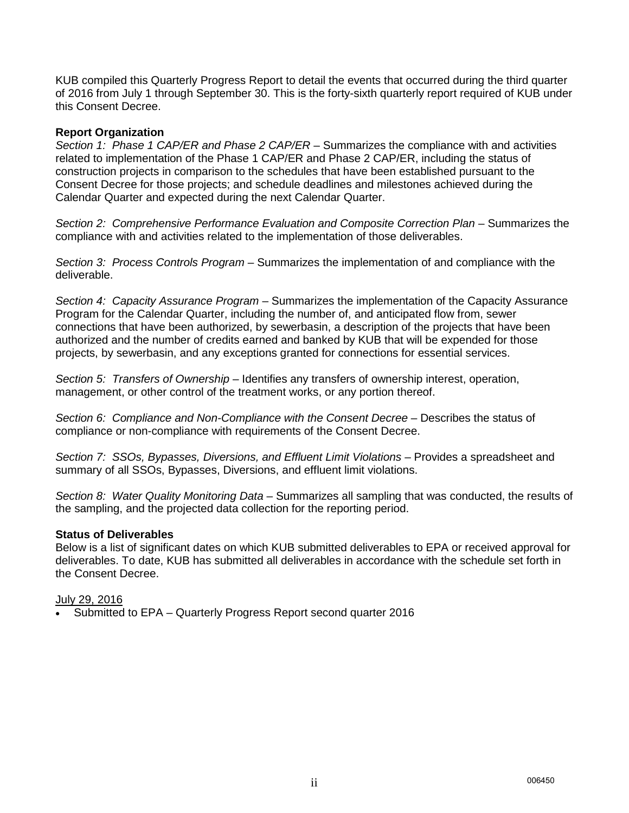KUB compiled this Quarterly Progress Report to detail the events that occurred during the third quarter of 2016 from July 1 through September 30. This is the forty-sixth quarterly report required of KUB under this Consent Decree.

#### **Report Organization**

*Section 1: Phase 1 CAP/ER and Phase 2 CAP/ER* – Summarizes the compliance with and activities related to implementation of the Phase 1 CAP/ER and Phase 2 CAP/ER, including the status of construction projects in comparison to the schedules that have been established pursuant to the Consent Decree for those projects; and schedule deadlines and milestones achieved during the Calendar Quarter and expected during the next Calendar Quarter.

*Section 2: Comprehensive Performance Evaluation and Composite Correction Plan* – Summarizes the compliance with and activities related to the implementation of those deliverables.

*Section 3: Process Controls Program* – Summarizes the implementation of and compliance with the deliverable.

*Section 4: Capacity Assurance Program* – Summarizes the implementation of the Capacity Assurance Program for the Calendar Quarter, including the number of, and anticipated flow from, sewer connections that have been authorized, by sewerbasin, a description of the projects that have been authorized and the number of credits earned and banked by KUB that will be expended for those projects, by sewerbasin, and any exceptions granted for connections for essential services.

*Section 5: Transfers of Ownership* – Identifies any transfers of ownership interest, operation, management, or other control of the treatment works, or any portion thereof.

Section 6: Compliance and Non-Compliance with the Consent Decree - Describes the status of compliance or non-compliance with requirements of the Consent Decree.

*Section 7: SSOs, Bypasses, Diversions, and Effluent Limit Violations* – Provides a spreadsheet and summary of all SSOs, Bypasses, Diversions, and effluent limit violations.

*Section 8: Water Quality Monitoring Data* – Summarizes all sampling that was conducted, the results of the sampling, and the projected data collection for the reporting period.

#### **Status of Deliverables**

Below is a list of significant dates on which KUB submitted deliverables to EPA or received approval for deliverables. To date, KUB has submitted all deliverables in accordance with the schedule set forth in the Consent Decree.

#### July 29, 2016

• Submitted to EPA – Quarterly Progress Report second quarter 2016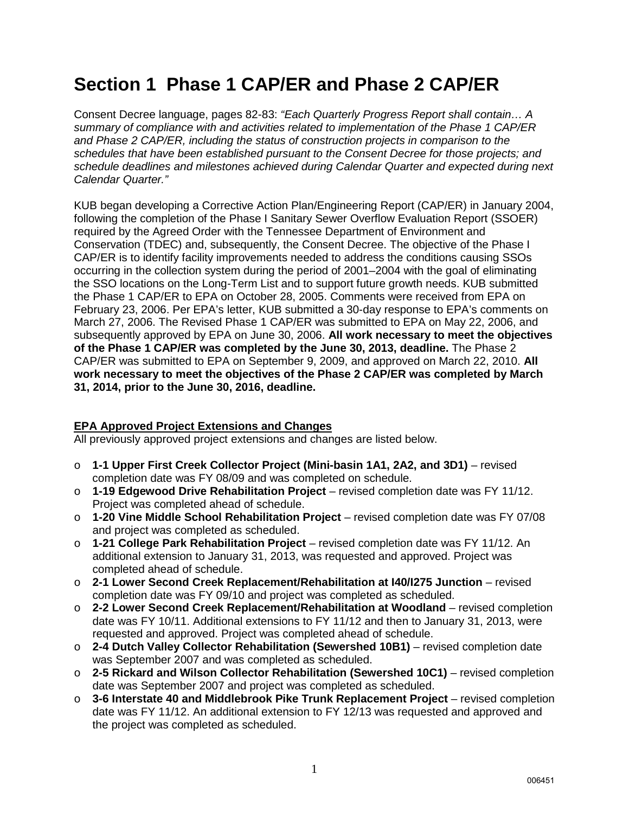# **Section 1 Phase 1 CAP/ER and Phase 2 CAP/ER**

Consent Decree language, pages 82-83: *"Each Quarterly Progress Report shall contain… A summary of compliance with and activities related to implementation of the Phase 1 CAP/ER and Phase 2 CAP/ER, including the status of construction projects in comparison to the schedules that have been established pursuant to the Consent Decree for those projects; and schedule deadlines and milestones achieved during Calendar Quarter and expected during next Calendar Quarter."*

KUB began developing a Corrective Action Plan/Engineering Report (CAP/ER) in January 2004, following the completion of the Phase I Sanitary Sewer Overflow Evaluation Report (SSOER) required by the Agreed Order with the Tennessee Department of Environment and Conservation (TDEC) and, subsequently, the Consent Decree. The objective of the Phase I CAP/ER is to identify facility improvements needed to address the conditions causing SSOs occurring in the collection system during the period of 2001–2004 with the goal of eliminating the SSO locations on the Long-Term List and to support future growth needs. KUB submitted the Phase 1 CAP/ER to EPA on October 28, 2005. Comments were received from EPA on February 23, 2006. Per EPA's letter, KUB submitted a 30-day response to EPA's comments on March 27, 2006. The Revised Phase 1 CAP/ER was submitted to EPA on May 22, 2006, and subsequently approved by EPA on June 30, 2006. **All work necessary to meet the objectives of the Phase 1 CAP/ER was completed by the June 30, 2013, deadline.** The Phase 2 CAP/ER was submitted to EPA on September 9, 2009, and approved on March 22, 2010. **All work necessary to meet the objectives of the Phase 2 CAP/ER was completed by March 31, 2014, prior to the June 30, 2016, deadline.**

#### **EPA Approved Project Extensions and Changes**

All previously approved project extensions and changes are listed below.

- o **1-1 Upper First Creek Collector Project (Mini-basin 1A1, 2A2, and 3D1)** revised completion date was FY 08/09 and was completed on schedule.
- o **1-19 Edgewood Drive Rehabilitation Project** revised completion date was FY 11/12. Project was completed ahead of schedule.
- o **1-20 Vine Middle School Rehabilitation Project** revised completion date was FY 07/08 and project was completed as scheduled.
- o **1-21 College Park Rehabilitation Project** revised completion date was FY 11/12. An additional extension to January 31, 2013, was requested and approved. Project was completed ahead of schedule.
- o **2-1 Lower Second Creek Replacement/Rehabilitation at I40/I275 Junction** revised completion date was FY 09/10 and project was completed as scheduled.
- o **2-2 Lower Second Creek Replacement/Rehabilitation at Woodland** revised completion date was FY 10/11. Additional extensions to FY 11/12 and then to January 31, 2013, were requested and approved. Project was completed ahead of schedule.
- o **2-4 Dutch Valley Collector Rehabilitation (Sewershed 10B1)** revised completion date was September 2007 and was completed as scheduled.
- o **2-5 Rickard and Wilson Collector Rehabilitation (Sewershed 10C1)** revised completion date was September 2007 and project was completed as scheduled.
- o **3-6 Interstate 40 and Middlebrook Pike Trunk Replacement Project** revised completion date was FY 11/12. An additional extension to FY 12/13 was requested and approved and the project was completed as scheduled.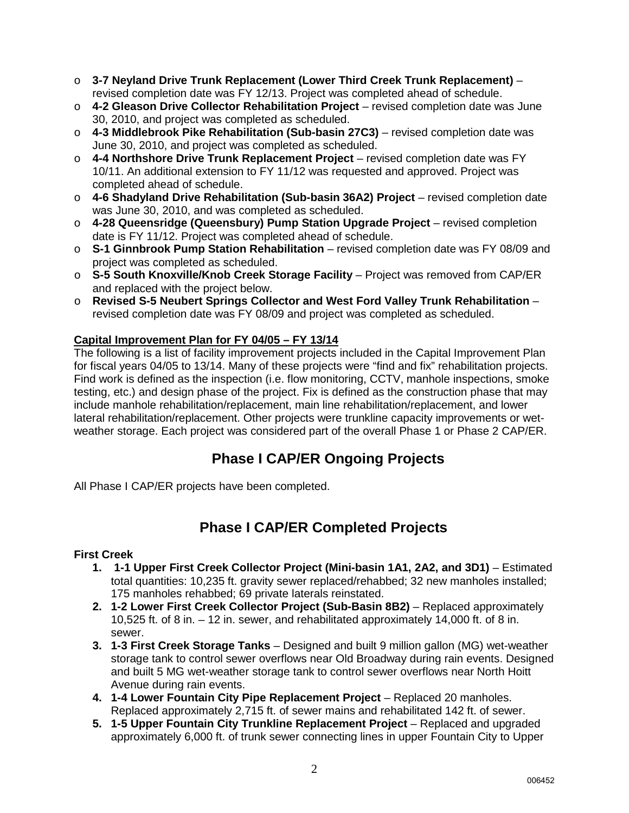- o **3-7 Neyland Drive Trunk Replacement (Lower Third Creek Trunk Replacement)** revised completion date was FY 12/13. Project was completed ahead of schedule.
- o **4-2 Gleason Drive Collector Rehabilitation Project** revised completion date was June 30, 2010, and project was completed as scheduled.
- o **4-3 Middlebrook Pike Rehabilitation (Sub-basin 27C3)** revised completion date was June 30, 2010, and project was completed as scheduled.
- o **4-4 Northshore Drive Trunk Replacement Project** revised completion date was FY 10/11. An additional extension to FY 11/12 was requested and approved. Project was completed ahead of schedule.
- o **4-6 Shadyland Drive Rehabilitation (Sub-basin 36A2) Project** revised completion date was June 30, 2010, and was completed as scheduled.
- o **4-28 Queensridge (Queensbury) Pump Station Upgrade Project** revised completion date is FY 11/12. Project was completed ahead of schedule.
- o **S-1 Ginnbrook Pump Station Rehabilitation** revised completion date was FY 08/09 and project was completed as scheduled.
- o **S-5 South Knoxville/Knob Creek Storage Facility** Project was removed from CAP/ER and replaced with the project below.
- o **Revised S-5 Neubert Springs Collector and West Ford Valley Trunk Rehabilitation** revised completion date was FY 08/09 and project was completed as scheduled.

### **Capital Improvement Plan for FY 04/05 – FY 13/14**

The following is a list of facility improvement projects included in the Capital Improvement Plan for fiscal years 04/05 to 13/14. Many of these projects were "find and fix" rehabilitation projects. Find work is defined as the inspection (i.e. flow monitoring, CCTV, manhole inspections, smoke testing, etc.) and design phase of the project. Fix is defined as the construction phase that may include manhole rehabilitation/replacement, main line rehabilitation/replacement, and lower lateral rehabilitation/replacement. Other projects were trunkline capacity improvements or wetweather storage. Each project was considered part of the overall Phase 1 or Phase 2 CAP/ER.

### **Phase I CAP/ER Ongoing Projects**

All Phase I CAP/ER projects have been completed.

### **Phase I CAP/ER Completed Projects**

#### **First Creek**

- **1. 1-1 Upper First Creek Collector Project (Mini-basin 1A1, 2A2, and 3D1)** Estimated total quantities: 10,235 ft. gravity sewer replaced/rehabbed; 32 new manholes installed; 175 manholes rehabbed; 69 private laterals reinstated.
- **2. 1-2 Lower First Creek Collector Project (Sub-Basin 8B2)** Replaced approximately 10,525 ft. of 8 in. – 12 in. sewer, and rehabilitated approximately 14,000 ft. of 8 in. sewer.
- **3. 1-3 First Creek Storage Tanks** Designed and built 9 million gallon (MG) wet-weather storage tank to control sewer overflows near Old Broadway during rain events. Designed and built 5 MG wet-weather storage tank to control sewer overflows near North Hoitt Avenue during rain events.
- **4. 1-4 Lower Fountain City Pipe Replacement Project** Replaced 20 manholes. Replaced approximately 2,715 ft. of sewer mains and rehabilitated 142 ft. of sewer.
- **5. 1-5 Upper Fountain City Trunkline Replacement Project** Replaced and upgraded approximately 6,000 ft. of trunk sewer connecting lines in upper Fountain City to Upper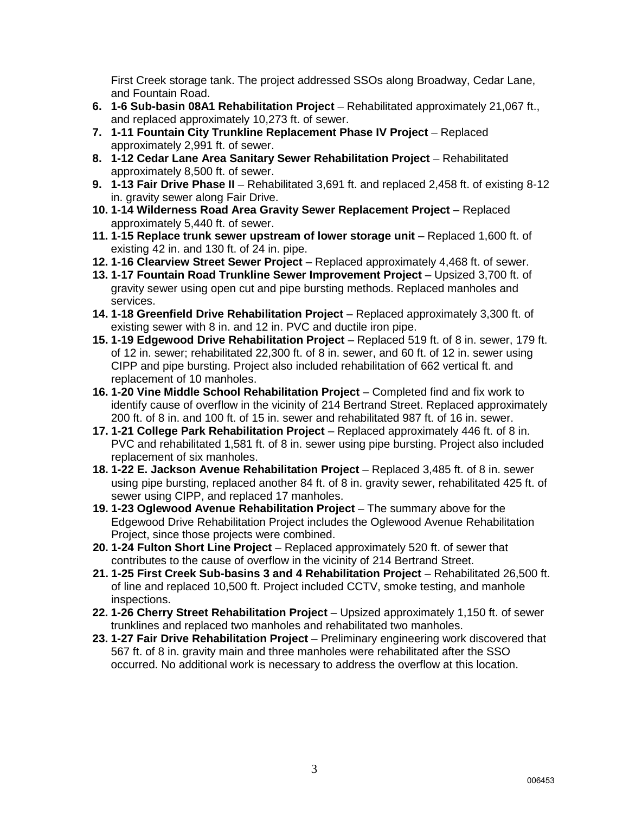First Creek storage tank. The project addressed SSOs along Broadway, Cedar Lane, and Fountain Road.

- **6. 1-6 Sub-basin 08A1 Rehabilitation Project** Rehabilitated approximately 21,067 ft., and replaced approximately 10,273 ft. of sewer.
- **7. 1-11 Fountain City Trunkline Replacement Phase IV Project** Replaced approximately 2,991 ft. of sewer.
- **8. 1-12 Cedar Lane Area Sanitary Sewer Rehabilitation Project** Rehabilitated approximately 8,500 ft. of sewer.
- **9. 1-13 Fair Drive Phase II** Rehabilitated 3,691 ft. and replaced 2,458 ft. of existing 8-12 in. gravity sewer along Fair Drive.
- **10. 1-14 Wilderness Road Area Gravity Sewer Replacement Project**  Replaced approximately 5,440 ft. of sewer.
- **11. 1-15 Replace trunk sewer upstream of lower storage unit** Replaced 1,600 ft. of existing 42 in. and 130 ft. of 24 in. pipe.
- **12. 1-16 Clearview Street Sewer Project** Replaced approximately 4,468 ft. of sewer.
- **13. 1-17 Fountain Road Trunkline Sewer Improvement Project** Upsized 3,700 ft. of gravity sewer using open cut and pipe bursting methods. Replaced manholes and services.
- **14. 1-18 Greenfield Drive Rehabilitation Project** Replaced approximately 3,300 ft. of existing sewer with 8 in. and 12 in. PVC and ductile iron pipe.
- **15. 1-19 Edgewood Drive Rehabilitation Project** Replaced 519 ft. of 8 in. sewer, 179 ft. of 12 in. sewer; rehabilitated 22,300 ft. of 8 in. sewer, and 60 ft. of 12 in. sewer using CIPP and pipe bursting. Project also included rehabilitation of 662 vertical ft. and replacement of 10 manholes.
- **16. 1-20 Vine Middle School Rehabilitation Project** Completed find and fix work to identify cause of overflow in the vicinity of 214 Bertrand Street. Replaced approximately 200 ft. of 8 in. and 100 ft. of 15 in. sewer and rehabilitated 987 ft. of 16 in. sewer.
- **17. 1-21 College Park Rehabilitation Project** Replaced approximately 446 ft. of 8 in. PVC and rehabilitated 1,581 ft. of 8 in. sewer using pipe bursting. Project also included replacement of six manholes.
- **18. 1-22 E. Jackson Avenue Rehabilitation Project** Replaced 3,485 ft. of 8 in. sewer using pipe bursting, replaced another 84 ft. of 8 in. gravity sewer, rehabilitated 425 ft. of sewer using CIPP, and replaced 17 manholes.
- **19. 1-23 Oglewood Avenue Rehabilitation Project** The summary above for the Edgewood Drive Rehabilitation Project includes the Oglewood Avenue Rehabilitation Project, since those projects were combined.
- **20. 1-24 Fulton Short Line Project** Replaced approximately 520 ft. of sewer that contributes to the cause of overflow in the vicinity of 214 Bertrand Street.
- **21. 1-25 First Creek Sub-basins 3 and 4 Rehabilitation Project** Rehabilitated 26,500 ft. of line and replaced 10,500 ft. Project included CCTV, smoke testing, and manhole inspections.
- **22. 1-26 Cherry Street Rehabilitation Project** Upsized approximately 1,150 ft. of sewer trunklines and replaced two manholes and rehabilitated two manholes.
- **23. 1-27 Fair Drive Rehabilitation Project** Preliminary engineering work discovered that 567 ft. of 8 in. gravity main and three manholes were rehabilitated after the SSO occurred. No additional work is necessary to address the overflow at this location.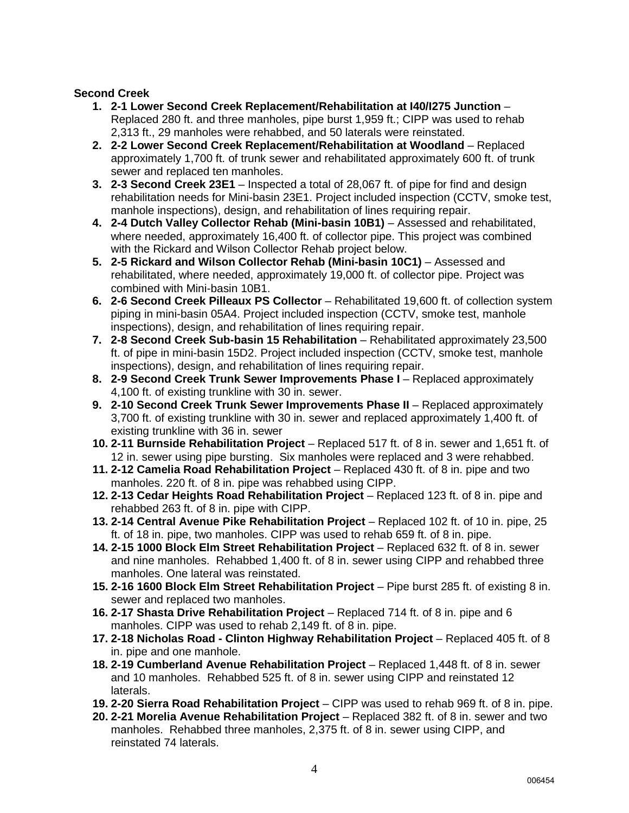#### **Second Creek**

- **1. 2-1 Lower Second Creek Replacement/Rehabilitation at I40/I275 Junction** Replaced 280 ft. and three manholes, pipe burst 1,959 ft.; CIPP was used to rehab 2,313 ft., 29 manholes were rehabbed, and 50 laterals were reinstated.
- **2. 2-2 Lower Second Creek Replacement/Rehabilitation at Woodland** Replaced approximately 1,700 ft. of trunk sewer and rehabilitated approximately 600 ft. of trunk sewer and replaced ten manholes.
- **3. 2-3 Second Creek 23E1** Inspected a total of 28,067 ft. of pipe for find and design rehabilitation needs for Mini-basin 23E1. Project included inspection (CCTV, smoke test, manhole inspections), design, and rehabilitation of lines requiring repair.
- **4. 2-4 Dutch Valley Collector Rehab (Mini-basin 10B1)** Assessed and rehabilitated, where needed, approximately 16,400 ft. of collector pipe. This project was combined with the Rickard and Wilson Collector Rehab project below.
- **5. 2-5 Rickard and Wilson Collector Rehab (Mini-basin 10C1)** Assessed and rehabilitated, where needed, approximately 19,000 ft. of collector pipe. Project was combined with Mini-basin 10B1.
- **6. 2-6 Second Creek Pilleaux PS Collector** Rehabilitated 19,600 ft. of collection system piping in mini-basin 05A4. Project included inspection (CCTV, smoke test, manhole inspections), design, and rehabilitation of lines requiring repair.
- **7. 2-8 Second Creek Sub-basin 15 Rehabilitation** Rehabilitated approximately 23,500 ft. of pipe in mini-basin 15D2. Project included inspection (CCTV, smoke test, manhole inspections), design, and rehabilitation of lines requiring repair.
- **8. 2-9 Second Creek Trunk Sewer Improvements Phase I** Replaced approximately 4,100 ft. of existing trunkline with 30 in. sewer.
- **9. 2-10 Second Creek Trunk Sewer Improvements Phase II** Replaced approximately 3,700 ft. of existing trunkline with 30 in. sewer and replaced approximately 1,400 ft. of existing trunkline with 36 in. sewer
- **10. 2-11 Burnside Rehabilitation Project** Replaced 517 ft. of 8 in. sewer and 1,651 ft. of 12 in. sewer using pipe bursting. Six manholes were replaced and 3 were rehabbed.
- **11. 2-12 Camelia Road Rehabilitation Project** Replaced 430 ft. of 8 in. pipe and two manholes. 220 ft. of 8 in. pipe was rehabbed using CIPP.
- **12. 2-13 Cedar Heights Road Rehabilitation Project**  Replaced 123 ft. of 8 in. pipe and rehabbed 263 ft. of 8 in. pipe with CIPP.
- **13. 2-14 Central Avenue Pike Rehabilitation Project**  Replaced 102 ft. of 10 in. pipe, 25 ft. of 18 in. pipe, two manholes. CIPP was used to rehab 659 ft. of 8 in. pipe.
- **14. 2-15 1000 Block Elm Street Rehabilitation Project**  Replaced 632 ft. of 8 in. sewer and nine manholes. Rehabbed 1,400 ft. of 8 in. sewer using CIPP and rehabbed three manholes. One lateral was reinstated.
- **15. 2-16 1600 Block Elm Street Rehabilitation Project**  Pipe burst 285 ft. of existing 8 in. sewer and replaced two manholes.
- **16. 2-17 Shasta Drive Rehabilitation Project**  Replaced 714 ft. of 8 in. pipe and 6 manholes. CIPP was used to rehab 2,149 ft. of 8 in. pipe.
- **17. 2-18 Nicholas Road Clinton Highway Rehabilitation Project Replaced 405 ft. of 8** in. pipe and one manhole.
- **18. 2-19 Cumberland Avenue Rehabilitation Project**  Replaced 1,448 ft. of 8 in. sewer and 10 manholes. Rehabbed 525 ft. of 8 in. sewer using CIPP and reinstated 12 laterals.
- **19. 2-20 Sierra Road Rehabilitation Project**  CIPP was used to rehab 969 ft. of 8 in. pipe.
- **20. 2-21 Morelia Avenue Rehabilitation Project** Replaced 382 ft. of 8 in. sewer and two manholes. Rehabbed three manholes, 2,375 ft. of 8 in. sewer using CIPP, and reinstated 74 laterals.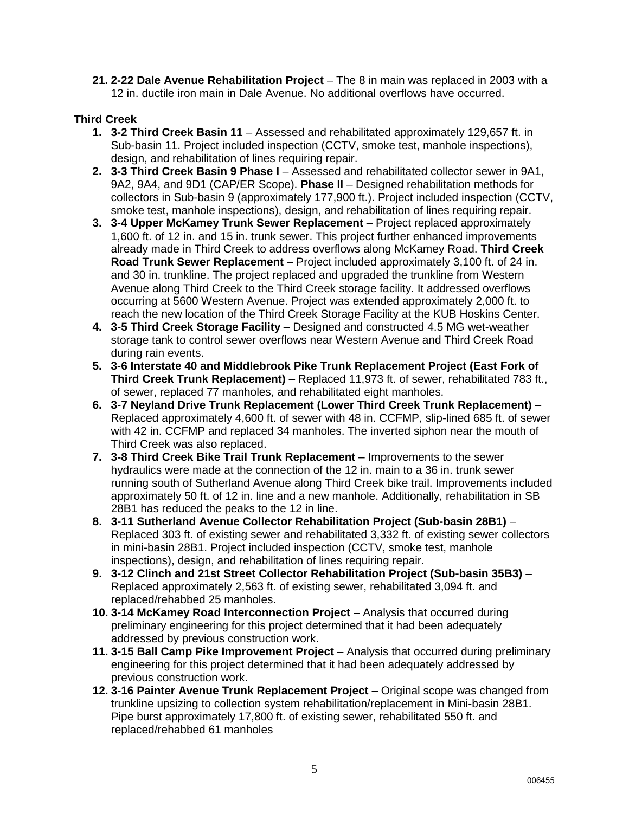**21. 2-22 Dale Avenue Rehabilitation Project** – The 8 in main was replaced in 2003 with a 12 in. ductile iron main in Dale Avenue. No additional overflows have occurred.

### **Third Creek**

- **1. 3-2 Third Creek Basin 11** Assessed and rehabilitated approximately 129,657 ft. in Sub-basin 11. Project included inspection (CCTV, smoke test, manhole inspections), design, and rehabilitation of lines requiring repair.
- **2. 3-3 Third Creek Basin 9 Phase I** Assessed and rehabilitated collector sewer in 9A1, 9A2, 9A4, and 9D1 (CAP/ER Scope). **Phase II** – Designed rehabilitation methods for collectors in Sub-basin 9 (approximately 177,900 ft.). Project included inspection (CCTV, smoke test, manhole inspections), design, and rehabilitation of lines requiring repair.
- **3. 3-4 Upper McKamey Trunk Sewer Replacement**  Project replaced approximately 1,600 ft. of 12 in. and 15 in. trunk sewer. This project further enhanced improvements already made in Third Creek to address overflows along McKamey Road. **Third Creek Road Trunk Sewer Replacement** – Project included approximately 3,100 ft. of 24 in. and 30 in. trunkline. The project replaced and upgraded the trunkline from Western Avenue along Third Creek to the Third Creek storage facility. It addressed overflows occurring at 5600 Western Avenue. Project was extended approximately 2,000 ft. to reach the new location of the Third Creek Storage Facility at the KUB Hoskins Center.
- **4. 3-5 Third Creek Storage Facility** Designed and constructed 4.5 MG wet-weather storage tank to control sewer overflows near Western Avenue and Third Creek Road during rain events.
- **5. 3-6 Interstate 40 and Middlebrook Pike Trunk Replacement Project (East Fork of Third Creek Trunk Replacement)** – Replaced 11,973 ft. of sewer, rehabilitated 783 ft., of sewer, replaced 77 manholes, and rehabilitated eight manholes.
- **6. 3-7 Neyland Drive Trunk Replacement (Lower Third Creek Trunk Replacement)** Replaced approximately 4,600 ft. of sewer with 48 in. CCFMP, slip-lined 685 ft. of sewer with 42 in. CCFMP and replaced 34 manholes. The inverted siphon near the mouth of Third Creek was also replaced.
- **7. 3-8 Third Creek Bike Trail Trunk Replacement** Improvements to the sewer hydraulics were made at the connection of the 12 in. main to a 36 in. trunk sewer running south of Sutherland Avenue along Third Creek bike trail. Improvements included approximately 50 ft. of 12 in. line and a new manhole. Additionally, rehabilitation in SB 28B1 has reduced the peaks to the 12 in line.
- **8. 3-11 Sutherland Avenue Collector Rehabilitation Project (Sub-basin 28B1)** Replaced 303 ft. of existing sewer and rehabilitated 3,332 ft. of existing sewer collectors in mini-basin 28B1. Project included inspection (CCTV, smoke test, manhole inspections), design, and rehabilitation of lines requiring repair.
- **9. 3-12 Clinch and 21st Street Collector Rehabilitation Project (Sub-basin 35B3)** Replaced approximately 2,563 ft. of existing sewer, rehabilitated 3,094 ft. and replaced/rehabbed 25 manholes.
- **10. 3-14 McKamey Road Interconnection Project** Analysis that occurred during preliminary engineering for this project determined that it had been adequately addressed by previous construction work.
- **11. 3-15 Ball Camp Pike Improvement Project** Analysis that occurred during preliminary engineering for this project determined that it had been adequately addressed by previous construction work.
- **12. 3-16 Painter Avenue Trunk Replacement Project** Original scope was changed from trunkline upsizing to collection system rehabilitation/replacement in Mini-basin 28B1. Pipe burst approximately 17,800 ft. of existing sewer, rehabilitated 550 ft. and replaced/rehabbed 61 manholes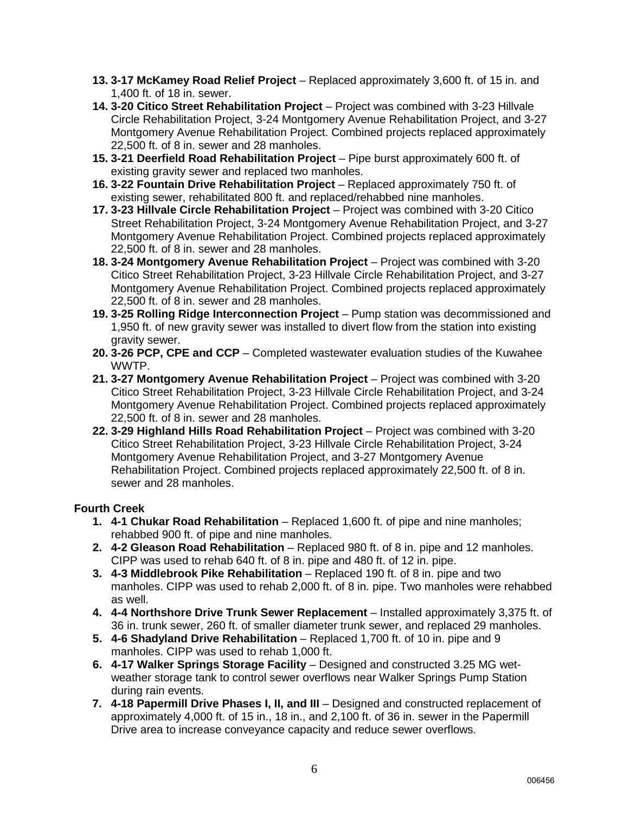- **13. 3-17 McKamey Road Relief Project** Replaced approximately 3,600 ft. of 15 in. and 1,400 ft. of 18 in. sewer.
- **14. 3-20 Citico Street Rehabilitation Project** Project was combined with 3-23 Hillvale Circle Rehabilitation Project, 3-24 Montgomery Avenue Rehabilitation Project, and 3-27 Montgomery Avenue Rehabilitation Project. Combined projects replaced approximately 22,500 ft. of 8 in. sewer and 28 manholes.
- **15. 3-21 Deerfield Road Rehabilitation Project** Pipe burst approximately 600 ft. of existing gravity sewer and replaced two manholes.
- **16. 3-22 Fountain Drive Rehabilitation Project** Replaced approximately 750 ft. of existing sewer, rehabilitated 800 ft. and replaced/rehabbed nine manholes.
- **17. 3-23 Hillvale Circle Rehabilitation Project** Project was combined with 3-20 Citico Street Rehabilitation Project, 3-24 Montgomery Avenue Rehabilitation Project, and 3-27 Montgomery Avenue Rehabilitation Project. Combined projects replaced approximately 22,500 ft. of 8 in. sewer and 28 manholes.
- **18. 3-24 Montgomery Avenue Rehabilitation Project**  Project was combined with 3-20 Citico Street Rehabilitation Project, 3-23 Hillvale Circle Rehabilitation Project, and 3-27 Montgomery Avenue Rehabilitation Project. Combined projects replaced approximately 22,500 ft. of 8 in. sewer and 28 manholes.
- **19. 3-25 Rolling Ridge Interconnection Project** Pump station was decommissioned and 1,950 ft. of new gravity sewer was installed to divert flow from the station into existing gravity sewer.
- **20. 3-26 PCP, CPE and CCP** Completed wastewater evaluation studies of the Kuwahee WWTP.
- **21. 3-27 Montgomery Avenue Rehabilitation Project** Project was combined with 3-20 Citico Street Rehabilitation Project, 3-23 Hillvale Circle Rehabilitation Project, and 3-24 Montgomery Avenue Rehabilitation Project. Combined projects replaced approximately 22,500 ft. of 8 in. sewer and 28 manholes.
- **22. 3-29 Highland Hills Road Rehabilitation Project** Project was combined with 3-20 Citico Street Rehabilitation Project, 3-23 Hillvale Circle Rehabilitation Project, 3-24 Montgomery Avenue Rehabilitation Project, and 3-27 Montgomery Avenue Rehabilitation Project. Combined projects replaced approximately 22,500 ft. of 8 in. sewer and 28 manholes.

#### **Fourth Creek**

- **1. 4-1 Chukar Road Rehabilitation** Replaced 1,600 ft. of pipe and nine manholes; rehabbed 900 ft. of pipe and nine manholes.
- **2. 4-2 Gleason Road Rehabilitation** Replaced 980 ft. of 8 in. pipe and 12 manholes. CIPP was used to rehab 640 ft. of 8 in. pipe and 480 ft. of 12 in. pipe.
- **3. 4-3 Middlebrook Pike Rehabilitation** Replaced 190 ft. of 8 in. pipe and two manholes. CIPP was used to rehab 2,000 ft. of 8 in. pipe. Two manholes were rehabbed as well.
- **4. 4-4 Northshore Drive Trunk Sewer Replacement** Installed approximately 3,375 ft. of 36 in. trunk sewer, 260 ft. of smaller diameter trunk sewer, and replaced 29 manholes.
- **5. 4-6 Shadyland Drive Rehabilitation** Replaced 1,700 ft. of 10 in. pipe and 9 manholes. CIPP was used to rehab 1,000 ft.
- **6. 4-17 Walker Springs Storage Facility** Designed and constructed 3.25 MG wetweather storage tank to control sewer overflows near Walker Springs Pump Station during rain events.
- **7. 4-18 Papermill Drive Phases I, II, and III** Designed and constructed replacement of approximately 4,000 ft. of 15 in., 18 in., and 2,100 ft. of 36 in. sewer in the Papermill Drive area to increase conveyance capacity and reduce sewer overflows.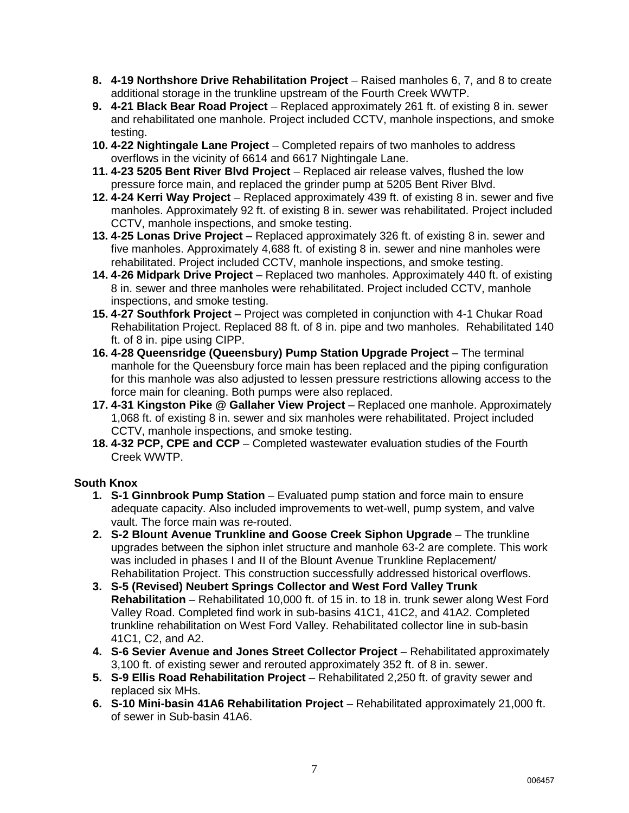- **8. 4-19 Northshore Drive Rehabilitation Project** Raised manholes 6, 7, and 8 to create additional storage in the trunkline upstream of the Fourth Creek WWTP.
- **9. 4-21 Black Bear Road Project** Replaced approximately 261 ft. of existing 8 in. sewer and rehabilitated one manhole. Project included CCTV, manhole inspections, and smoke testing.
- **10. 4-22 Nightingale Lane Project** Completed repairs of two manholes to address overflows in the vicinity of 6614 and 6617 Nightingale Lane.
- **11. 4-23 5205 Bent River Blvd Project** Replaced air release valves, flushed the low pressure force main, and replaced the grinder pump at 5205 Bent River Blvd.
- **12. 4-24 Kerri Way Project** Replaced approximately 439 ft. of existing 8 in. sewer and five manholes. Approximately 92 ft. of existing 8 in. sewer was rehabilitated. Project included CCTV, manhole inspections, and smoke testing.
- **13. 4-25 Lonas Drive Project** Replaced approximately 326 ft. of existing 8 in. sewer and five manholes. Approximately 4,688 ft. of existing 8 in. sewer and nine manholes were rehabilitated. Project included CCTV, manhole inspections, and smoke testing.
- **14. 4-26 Midpark Drive Project** Replaced two manholes. Approximately 440 ft. of existing 8 in. sewer and three manholes were rehabilitated. Project included CCTV, manhole inspections, and smoke testing.
- **15. 4-27 Southfork Project** Project was completed in conjunction with 4-1 Chukar Road Rehabilitation Project. Replaced 88 ft. of 8 in. pipe and two manholes. Rehabilitated 140 ft. of 8 in. pipe using CIPP.
- **16. 4-28 Queensridge (Queensbury) Pump Station Upgrade Project** The terminal manhole for the Queensbury force main has been replaced and the piping configuration for this manhole was also adjusted to lessen pressure restrictions allowing access to the force main for cleaning. Both pumps were also replaced.
- **17. 4-31 Kingston Pike @ Gallaher View Project** Replaced one manhole. Approximately 1,068 ft. of existing 8 in. sewer and six manholes were rehabilitated. Project included CCTV, manhole inspections, and smoke testing.
- **18. 4-32 PCP, CPE and CCP** Completed wastewater evaluation studies of the Fourth Creek WWTP.

#### **South Knox**

- **1. S-1 Ginnbrook Pump Station**  Evaluated pump station and force main to ensure adequate capacity. Also included improvements to wet-well, pump system, and valve vault. The force main was re-routed.
- **2. S-2 Blount Avenue Trunkline and Goose Creek Siphon Upgrade** The trunkline upgrades between the siphon inlet structure and manhole 63-2 are complete. This work was included in phases I and II of the Blount Avenue Trunkline Replacement/ Rehabilitation Project. This construction successfully addressed historical overflows.
- **3. S-5 (Revised) Neubert Springs Collector and West Ford Valley Trunk Rehabilitation** – Rehabilitated 10,000 ft. of 15 in. to 18 in. trunk sewer along West Ford Valley Road. Completed find work in sub-basins 41C1, 41C2, and 41A2. Completed trunkline rehabilitation on West Ford Valley. Rehabilitated collector line in sub-basin 41C1, C2, and A2.
- **4. S-6 Sevier Avenue and Jones Street Collector Project** Rehabilitated approximately 3,100 ft. of existing sewer and rerouted approximately 352 ft. of 8 in. sewer.
- **5. S-9 Ellis Road Rehabilitation Project** Rehabilitated 2,250 ft. of gravity sewer and replaced six MHs.
- **6. S-10 Mini-basin 41A6 Rehabilitation Project** Rehabilitated approximately 21,000 ft. of sewer in Sub-basin 41A6.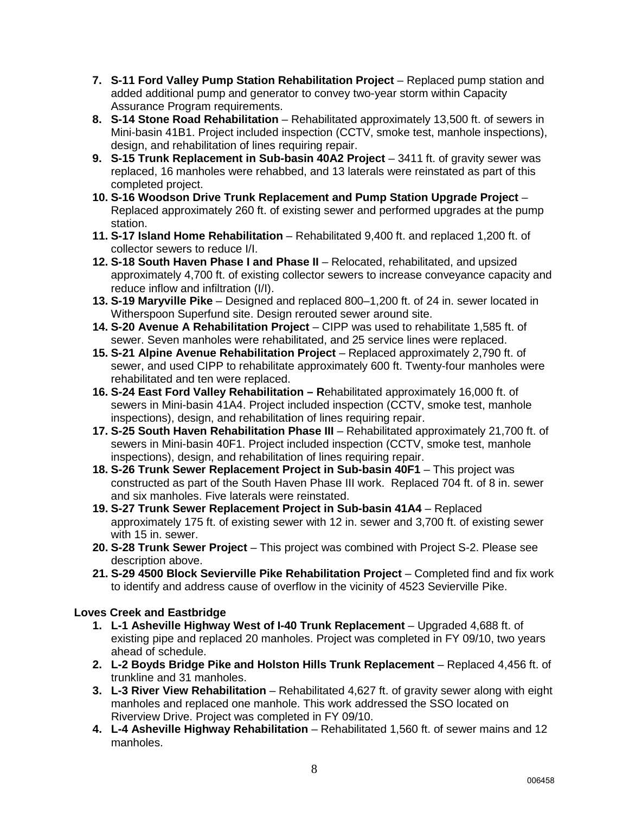- **7. S-11 Ford Valley Pump Station Rehabilitation Project** Replaced pump station and added additional pump and generator to convey two-year storm within Capacity Assurance Program requirements.
- **8. S-14 Stone Road Rehabilitation** Rehabilitated approximately 13,500 ft. of sewers in Mini-basin 41B1. Project included inspection (CCTV, smoke test, manhole inspections), design, and rehabilitation of lines requiring repair.
- **9. S-15 Trunk Replacement in Sub-basin 40A2 Project** 3411 ft. of gravity sewer was replaced, 16 manholes were rehabbed, and 13 laterals were reinstated as part of this completed project.
- **10. S-16 Woodson Drive Trunk Replacement and Pump Station Upgrade Project** Replaced approximately 260 ft. of existing sewer and performed upgrades at the pump station.
- **11. S-17 Island Home Rehabilitation** Rehabilitated 9,400 ft. and replaced 1,200 ft. of collector sewers to reduce I/I.
- **12. S-18 South Haven Phase I and Phase II** Relocated, rehabilitated, and upsized approximately 4,700 ft. of existing collector sewers to increase conveyance capacity and reduce inflow and infiltration (I/I).
- **13. S-19 Maryville Pike** Designed and replaced 800–1,200 ft. of 24 in. sewer located in Witherspoon Superfund site. Design rerouted sewer around site.
- **14. S-20 Avenue A Rehabilitation Project** CIPP was used to rehabilitate 1,585 ft. of sewer. Seven manholes were rehabilitated, and 25 service lines were replaced.
- **15. S-21 Alpine Avenue Rehabilitation Project** Replaced approximately 2,790 ft. of sewer, and used CIPP to rehabilitate approximately 600 ft. Twenty-four manholes were rehabilitated and ten were replaced.
- **16. S-24 East Ford Valley Rehabilitation R**ehabilitated approximately 16,000 ft. of sewers in Mini-basin 41A4. Project included inspection (CCTV, smoke test, manhole inspections), design, and rehabilitat**i**on of lines requiring repair.
- **17. S-25 South Haven Rehabilitation Phase III** Rehabilitated approximately 21,700 ft. of sewers in Mini-basin 40F1. Project included inspection (CCTV, smoke test, manhole inspections), design, and rehabilitation of lines requiring repair.
- **18. S-26 Trunk Sewer Replacement Project in Sub-basin 40F1** This project was constructed as part of the South Haven Phase III work. Replaced 704 ft. of 8 in. sewer and six manholes. Five laterals were reinstated.
- **19. S-27 Trunk Sewer Replacement Project in Sub-basin 41A4** Replaced approximately 175 ft. of existing sewer with 12 in. sewer and 3,700 ft. of existing sewer with 15 in. sewer.
- **20. S-28 Trunk Sewer Project** This project was combined with Project S-2. Please see description above.
- **21. S-29 4500 Block Sevierville Pike Rehabilitation Project** Completed find and fix work to identify and address cause of overflow in the vicinity of 4523 Sevierville Pike.

#### **Loves Creek and Eastbridge**

- **1. L-1 Asheville Highway West of I-40 Trunk Replacement Upgraded 4,688 ft. of** existing pipe and replaced 20 manholes. Project was completed in FY 09/10, two years ahead of schedule.
- **2. L-2 Boyds Bridge Pike and Holston Hills Trunk Replacement** Replaced 4,456 ft. of trunkline and 31 manholes.
- **3. L-3 River View Rehabilitation** Rehabilitated 4,627 ft. of gravity sewer along with eight manholes and replaced one manhole. This work addressed the SSO located on Riverview Drive. Project was completed in FY 09/10.
- **4. L-4 Asheville Highway Rehabilitation** Rehabilitated 1,560 ft. of sewer mains and 12 manholes.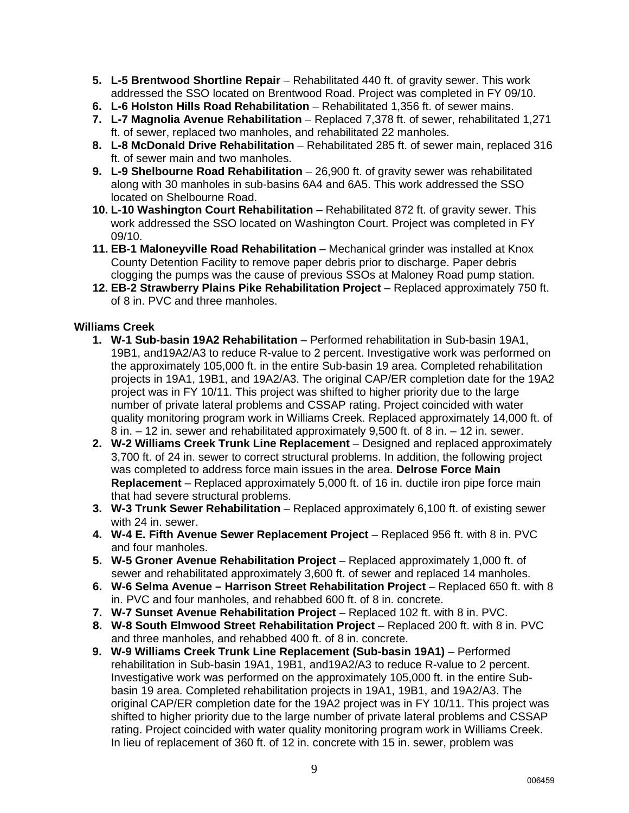- **5. L-5 Brentwood Shortline Repair** Rehabilitated 440 ft. of gravity sewer. This work addressed the SSO located on Brentwood Road. Project was completed in FY 09/10.
- **6. L-6 Holston Hills Road Rehabilitation** Rehabilitated 1,356 ft. of sewer mains.
- **7. L-7 Magnolia Avenue Rehabilitation**  Replaced 7,378 ft. of sewer, rehabilitated 1,271 ft. of sewer, replaced two manholes, and rehabilitated 22 manholes.
- **8. L-8 McDonald Drive Rehabilitation** Rehabilitated 285 ft. of sewer main, replaced 316 ft. of sewer main and two manholes.
- **9. L-9 Shelbourne Road Rehabilitation** 26,900 ft. of gravity sewer was rehabilitated along with 30 manholes in sub-basins 6A4 and 6A5. This work addressed the SSO located on Shelbourne Road.
- **10. L-10 Washington Court Rehabilitation** Rehabilitated 872 ft. of gravity sewer. This work addressed the SSO located on Washington Court. Project was completed in FY 09/10.
- **11. EB-1 Maloneyville Road Rehabilitation** Mechanical grinder was installed at Knox County Detention Facility to remove paper debris prior to discharge. Paper debris clogging the pumps was the cause of previous SSOs at Maloney Road pump station.
- **12. EB-2 Strawberry Plains Pike Rehabilitation Project** Replaced approximately 750 ft. of 8 in. PVC and three manholes.

#### **Williams Creek**

- **1. W-1 Sub-basin 19A2 Rehabilitation** Performed rehabilitation in Sub-basin 19A1, 19B1, and19A2/A3 to reduce R-value to 2 percent. Investigative work was performed on the approximately 105,000 ft. in the entire Sub-basin 19 area. Completed rehabilitation projects in 19A1, 19B1, and 19A2/A3. The original CAP/ER completion date for the 19A2 project was in FY 10/11. This project was shifted to higher priority due to the large number of private lateral problems and CSSAP rating. Project coincided with water quality monitoring program work in Williams Creek. Replaced approximately 14,000 ft. of 8 in. – 12 in. sewer and rehabilitated approximately 9,500 ft. of 8 in. – 12 in. sewer.
- **2. W-2 Williams Creek Trunk Line Replacement** Designed and replaced approximately 3,700 ft. of 24 in. sewer to correct structural problems. In addition, the following project was completed to address force main issues in the area. **Delrose Force Main Replacement** – Replaced approximately 5,000 ft. of 16 in. ductile iron pipe force main that had severe structural problems.
- **3. W-3 Trunk Sewer Rehabilitation** Replaced approximately 6,100 ft. of existing sewer with 24 in. sewer.
- **4. W-4 E. Fifth Avenue Sewer Replacement Project** Replaced 956 ft. with 8 in. PVC and four manholes.
- **5. W-5 Groner Avenue Rehabilitation Project** Replaced approximately 1,000 ft. of sewer and rehabilitated approximately 3,600 ft. of sewer and replaced 14 manholes.
- **6. W-6 Selma Avenue Harrison Street Rehabilitation Project** Replaced 650 ft. with 8 in. PVC and four manholes, and rehabbed 600 ft. of 8 in. concrete.
- **7. W-7 Sunset Avenue Rehabilitation Project** Replaced 102 ft. with 8 in. PVC.
- **8. W-8 South Elmwood Street Rehabilitation Project** Replaced 200 ft. with 8 in. PVC and three manholes, and rehabbed 400 ft. of 8 in. concrete.
- **9. W-9 Williams Creek Trunk Line Replacement (Sub-basin 19A1)** Performed rehabilitation in Sub-basin 19A1, 19B1, and19A2/A3 to reduce R-value to 2 percent. Investigative work was performed on the approximately 105,000 ft. in the entire Subbasin 19 area. Completed rehabilitation projects in 19A1, 19B1, and 19A2/A3. The original CAP/ER completion date for the 19A2 project was in FY 10/11. This project was shifted to higher priority due to the large number of private lateral problems and CSSAP rating. Project coincided with water quality monitoring program work in Williams Creek. In lieu of replacement of 360 ft. of 12 in. concrete with 15 in. sewer, problem was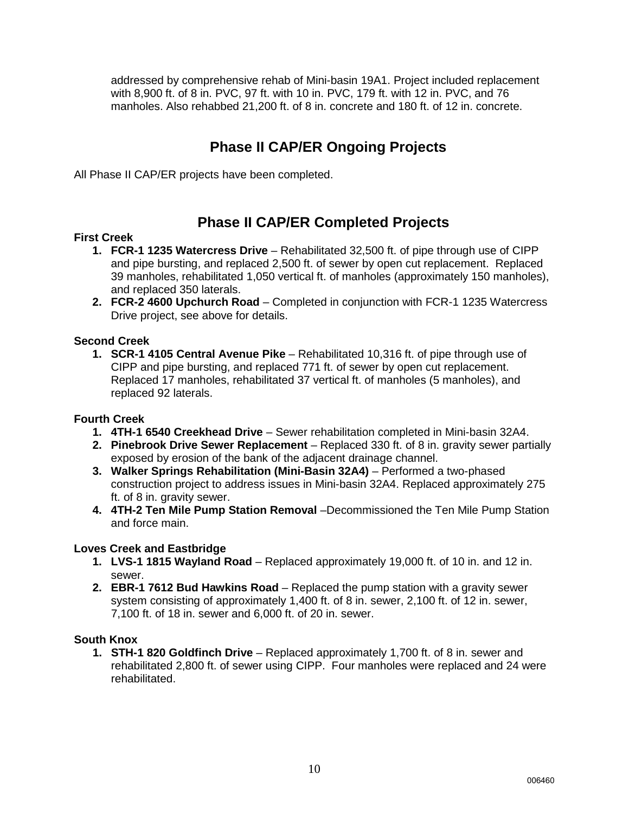addressed by comprehensive rehab of Mini-basin 19A1. Project included replacement with 8,900 ft. of 8 in. PVC, 97 ft. with 10 in. PVC, 179 ft. with 12 in. PVC, and 76 manholes. Also rehabbed 21,200 ft. of 8 in. concrete and 180 ft. of 12 in. concrete.

### **Phase II CAP/ER Ongoing Projects**

All Phase II CAP/ER projects have been completed.

### **Phase II CAP/ER Completed Projects**

#### **First Creek**

- **1. FCR-1 1235 Watercress Drive**  Rehabilitated 32,500 ft. of pipe through use of CIPP and pipe bursting, and replaced 2,500 ft. of sewer by open cut replacement. Replaced 39 manholes, rehabilitated 1,050 vertical ft. of manholes (approximately 150 manholes), and replaced 350 laterals.
- **2. FCR-2 4600 Upchurch Road** Completed in conjunction with FCR-1 1235 Watercress Drive project, see above for details.

#### **Second Creek**

**1. SCR-1 4105 Central Avenue Pike** – Rehabilitated 10,316 ft. of pipe through use of CIPP and pipe bursting, and replaced 771 ft. of sewer by open cut replacement. Replaced 17 manholes, rehabilitated 37 vertical ft. of manholes (5 manholes), and replaced 92 laterals.

#### **Fourth Creek**

- **1. 4TH-1 6540 Creekhead Drive** Sewer rehabilitation completed in Mini-basin 32A4.
- **2. Pinebrook Drive Sewer Replacement** Replaced 330 ft. of 8 in. gravity sewer partially exposed by erosion of the bank of the adjacent drainage channel.
- **3. Walker Springs Rehabilitation (Mini-Basin 32A4)** Performed a two-phased construction project to address issues in Mini-basin 32A4. Replaced approximately 275 ft. of 8 in. gravity sewer.
- **4. 4TH-2 Ten Mile Pump Station Removal** –Decommissioned the Ten Mile Pump Station and force main.

#### **Loves Creek and Eastbridge**

- **1. LVS-1 1815 Wayland Road**  Replaced approximately 19,000 ft. of 10 in. and 12 in. sewer.
- **2. EBR-1 7612 Bud Hawkins Road** Replaced the pump station with a gravity sewer system consisting of approximately 1,400 ft. of 8 in. sewer, 2,100 ft. of 12 in. sewer, 7,100 ft. of 18 in. sewer and 6,000 ft. of 20 in. sewer.

#### **South Knox**

**1. STH-1 820 Goldfinch Drive** – Replaced approximately 1,700 ft. of 8 in. sewer and rehabilitated 2,800 ft. of sewer using CIPP. Four manholes were replaced and 24 were rehabilitated.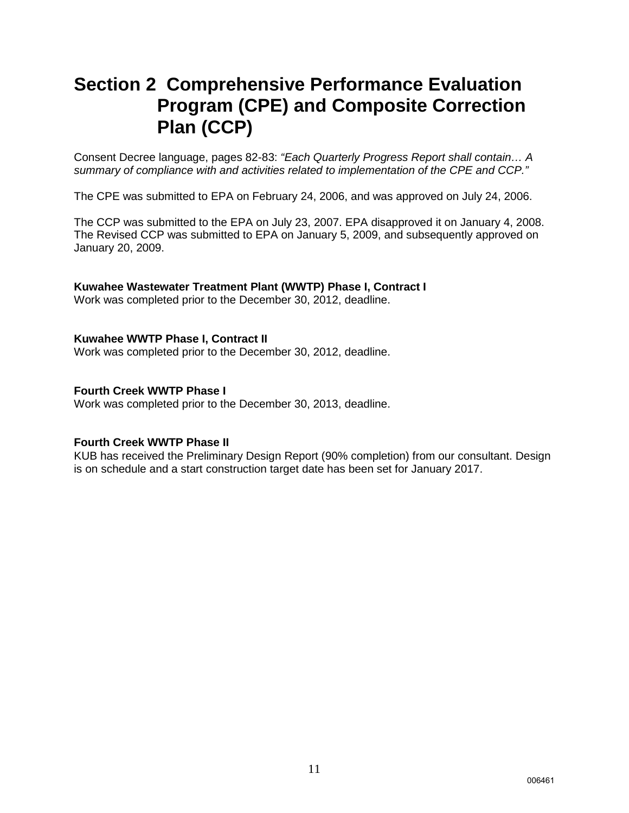### **Section 2 Comprehensive Performance Evaluation Program (CPE) and Composite Correction Plan (CCP)**

Consent Decree language, pages 82-83: *"Each Quarterly Progress Report shall contain… A summary of compliance with and activities related to implementation of the CPE and CCP."*

The CPE was submitted to EPA on February 24, 2006, and was approved on July 24, 2006.

The CCP was submitted to the EPA on July 23, 2007. EPA disapproved it on January 4, 2008. The Revised CCP was submitted to EPA on January 5, 2009, and subsequently approved on January 20, 2009.

**Kuwahee Wastewater Treatment Plant (WWTP) Phase I, Contract I** Work was completed prior to the December 30, 2012, deadline.

#### **Kuwahee WWTP Phase I, Contract II**

Work was completed prior to the December 30, 2012, deadline.

#### **Fourth Creek WWTP Phase I**

Work was completed prior to the December 30, 2013, deadline.

#### **Fourth Creek WWTP Phase II**

KUB has received the Preliminary Design Report (90% completion) from our consultant. Design is on schedule and a start construction target date has been set for January 2017.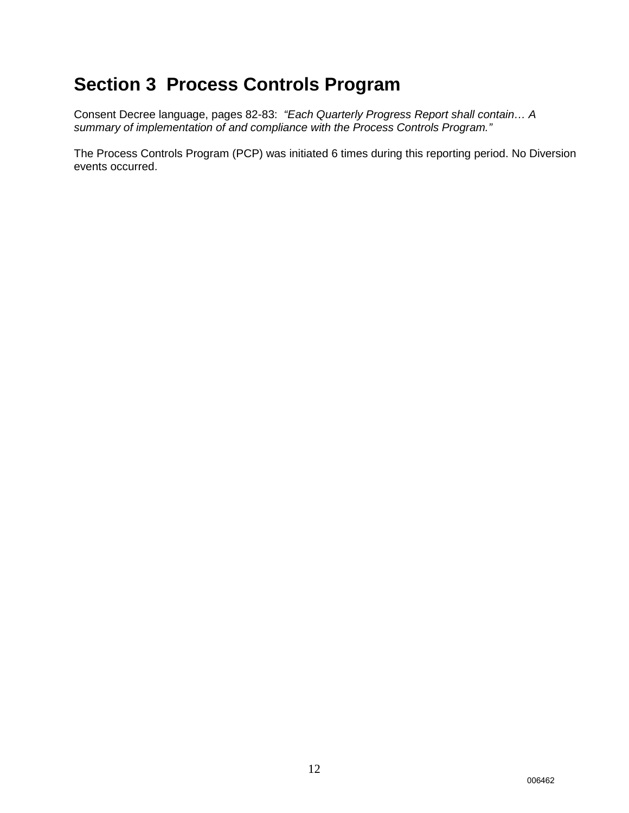## **Section 3 Process Controls Program**

Consent Decree language, pages 82-83: *"Each Quarterly Progress Report shall contain… A summary of implementation of and compliance with the Process Controls Program."*

The Process Controls Program (PCP) was initiated 6 times during this reporting period. No Diversion events occurred.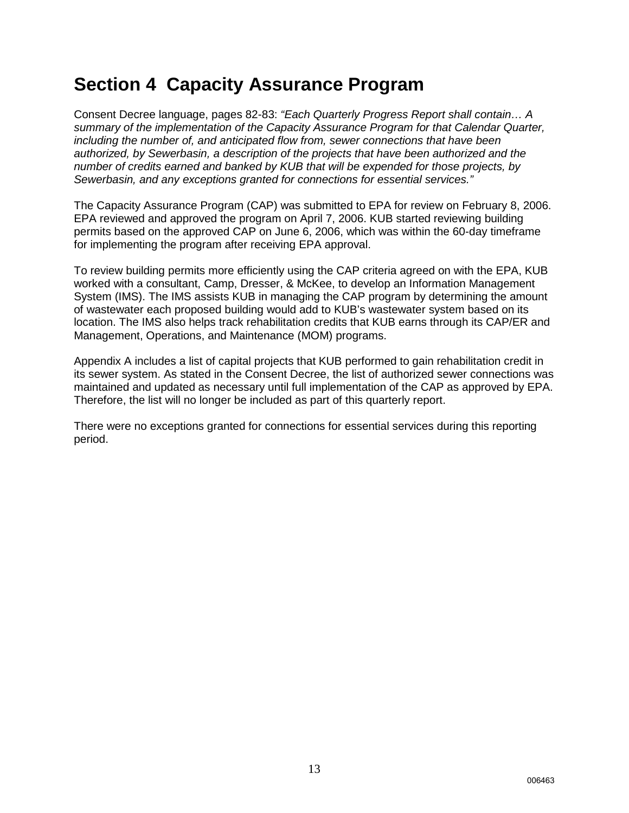### **Section 4 Capacity Assurance Program**

Consent Decree language, pages 82-83: *"Each Quarterly Progress Report shall contain… A summary of the implementation of the Capacity Assurance Program for that Calendar Quarter, including the number of, and anticipated flow from, sewer connections that have been authorized, by Sewerbasin, a description of the projects that have been authorized and the number of credits earned and banked by KUB that will be expended for those projects, by Sewerbasin, and any exceptions granted for connections for essential services."*

The Capacity Assurance Program (CAP) was submitted to EPA for review on February 8, 2006. EPA reviewed and approved the program on April 7, 2006. KUB started reviewing building permits based on the approved CAP on June 6, 2006, which was within the 60-day timeframe for implementing the program after receiving EPA approval.

To review building permits more efficiently using the CAP criteria agreed on with the EPA, KUB worked with a consultant, Camp, Dresser, & McKee, to develop an Information Management System (IMS). The IMS assists KUB in managing the CAP program by determining the amount of wastewater each proposed building would add to KUB's wastewater system based on its location. The IMS also helps track rehabilitation credits that KUB earns through its CAP/ER and Management, Operations, and Maintenance (MOM) programs.

Appendix A includes a list of capital projects that KUB performed to gain rehabilitation credit in its sewer system. As stated in the Consent Decree, the list of authorized sewer connections was maintained and updated as necessary until full implementation of the CAP as approved by EPA. Therefore, the list will no longer be included as part of this quarterly report.

There were no exceptions granted for connections for essential services during this reporting period.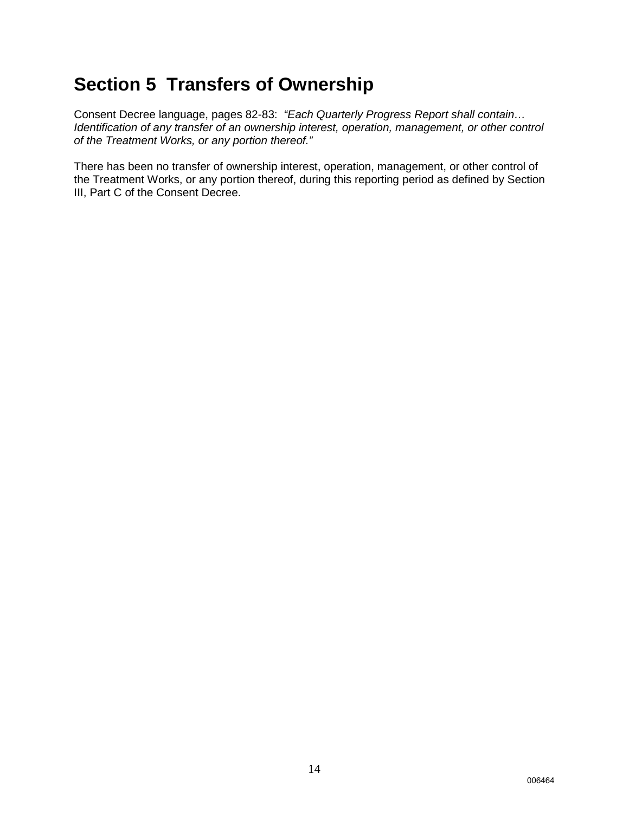### **Section 5 Transfers of Ownership**

Consent Decree language, pages 82-83: *"Each Quarterly Progress Report shall contain… Identification of any transfer of an ownership interest, operation, management, or other control of the Treatment Works, or any portion thereof."*

There has been no transfer of ownership interest, operation, management, or other control of the Treatment Works, or any portion thereof, during this reporting period as defined by Section III, Part C of the Consent Decree.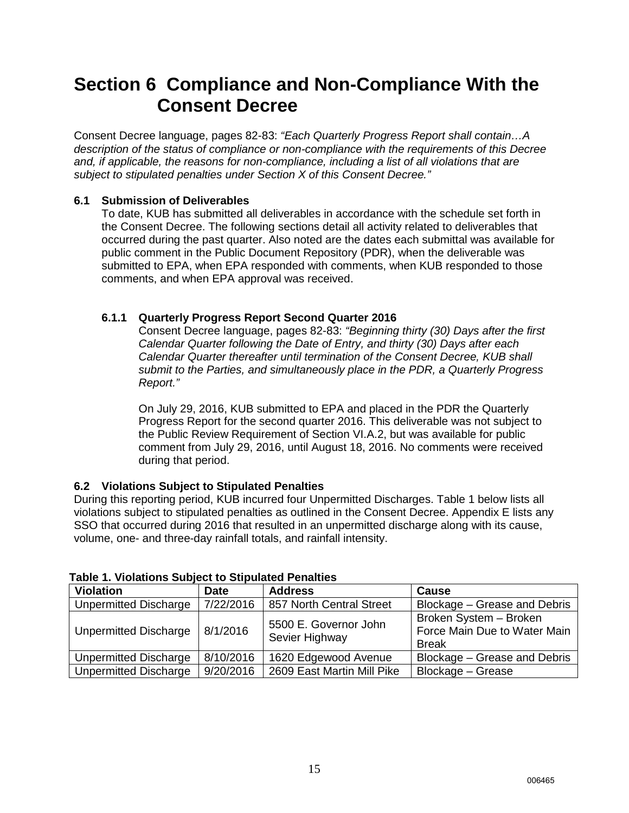### **Section 6 Compliance and Non-Compliance With the Consent Decree**

Consent Decree language, pages 82-83: *"Each Quarterly Progress Report shall contain…A description of the status of compliance or non-compliance with the requirements of this Decree and, if applicable, the reasons for non-compliance, including a list of all violations that are subject to stipulated penalties under Section X of this Consent Decree."*

#### **6.1 Submission of Deliverables**

To date, KUB has submitted all deliverables in accordance with the schedule set forth in the Consent Decree. The following sections detail all activity related to deliverables that occurred during the past quarter. Also noted are the dates each submittal was available for public comment in the Public Document Repository (PDR), when the deliverable was submitted to EPA, when EPA responded with comments, when KUB responded to those comments, and when EPA approval was received.

#### **6.1.1 Quarterly Progress Report Second Quarter 2016**

Consent Decree language, pages 82-83: *"Beginning thirty (30) Days after the first Calendar Quarter following the Date of Entry, and thirty (30) Days after each Calendar Quarter thereafter until termination of the Consent Decree, KUB shall submit to the Parties, and simultaneously place in the PDR, a Quarterly Progress Report."*

On July 29, 2016, KUB submitted to EPA and placed in the PDR the Quarterly Progress Report for the second quarter 2016. This deliverable was not subject to the Public Review Requirement of Section VI.A.2, but was available for public comment from July 29, 2016, until August 18, 2016. No comments were received during that period.

#### **6.2 Violations Subject to Stipulated Penalties**

During this reporting period, KUB incurred four Unpermitted Discharges. Table 1 below lists all violations subject to stipulated penalties as outlined in the Consent Decree. Appendix E lists any SSO that occurred during 2016 that resulted in an unpermitted discharge along with its cause, volume, one- and three-day rainfall totals, and rainfall intensity.

| <b>Violation</b>             | <b>Date</b> | <b>Address</b>                          | <b>Cause</b>                                                           |
|------------------------------|-------------|-----------------------------------------|------------------------------------------------------------------------|
| <b>Unpermitted Discharge</b> | 7/22/2016   | 857 North Central Street                | Blockage - Grease and Debris                                           |
| Unpermitted Discharge        | 8/1/2016    | 5500 E. Governor John<br>Sevier Highway | Broken System - Broken<br>Force Main Due to Water Main<br><b>Break</b> |
| <b>Unpermitted Discharge</b> | 8/10/2016   | 1620 Edgewood Avenue                    | Blockage - Grease and Debris                                           |
| <b>Unpermitted Discharge</b> | 9/20/2016   | 2609 East Martin Mill Pike              | Blockage - Grease                                                      |

#### **Table 1. Violations Subject to Stipulated Penalties**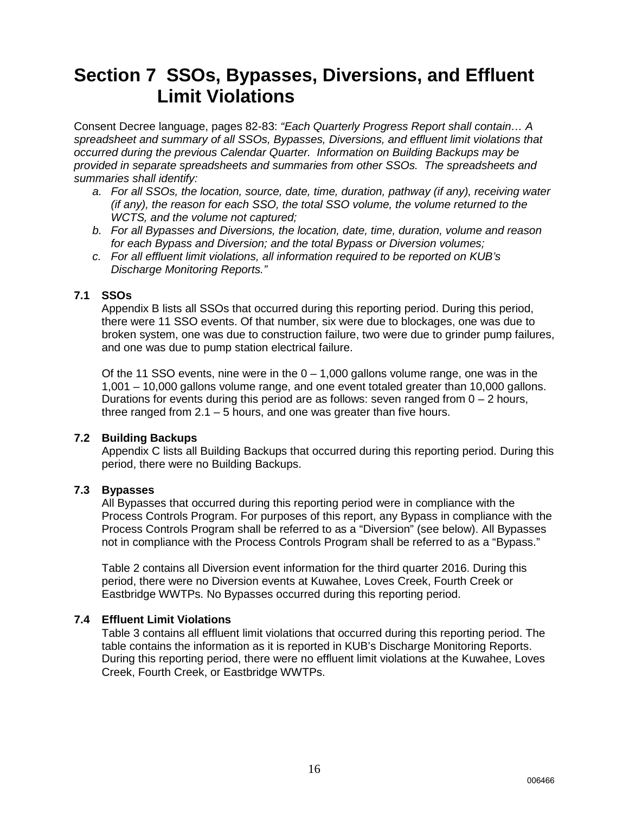### **Section 7 SSOs, Bypasses, Diversions, and Effluent Limit Violations**

Consent Decree language, pages 82-83: *"Each Quarterly Progress Report shall contain… A spreadsheet and summary of all SSOs, Bypasses, Diversions, and effluent limit violations that occurred during the previous Calendar Quarter. Information on Building Backups may be provided in separate spreadsheets and summaries from other SSOs. The spreadsheets and summaries shall identify:* 

- *a. For all SSOs, the location, source, date, time, duration, pathway (if any), receiving water (if any), the reason for each SSO, the total SSO volume, the volume returned to the WCTS, and the volume not captured;*
- *b. For all Bypasses and Diversions, the location, date, time, duration, volume and reason for each Bypass and Diversion; and the total Bypass or Diversion volumes;*
- *c. For all effluent limit violations, all information required to be reported on KUB's Discharge Monitoring Reports."*

#### **7.1 SSOs**

Appendix B lists all SSOs that occurred during this reporting period. During this period, there were 11 SSO events. Of that number, six were due to blockages, one was due to broken system, one was due to construction failure, two were due to grinder pump failures, and one was due to pump station electrical failure.

Of the 11 SSO events, nine were in the  $0 - 1,000$  gallons volume range, one was in the 1,001 – 10,000 gallons volume range, and one event totaled greater than 10,000 gallons. Durations for events during this period are as follows: seven ranged from  $0 - 2$  hours, three ranged from  $2.1 - 5$  hours, and one was greater than five hours.

#### **7.2 Building Backups**

Appendix C lists all Building Backups that occurred during this reporting period. During this period, there were no Building Backups.

#### **7.3 Bypasses**

All Bypasses that occurred during this reporting period were in compliance with the Process Controls Program. For purposes of this report, any Bypass in compliance with the Process Controls Program shall be referred to as a "Diversion" (see below). All Bypasses not in compliance with the Process Controls Program shall be referred to as a "Bypass."

Table 2 contains all Diversion event information for the third quarter 2016. During this period, there were no Diversion events at Kuwahee, Loves Creek, Fourth Creek or Eastbridge WWTPs. No Bypasses occurred during this reporting period.

#### **7.4 Effluent Limit Violations**

Table 3 contains all effluent limit violations that occurred during this reporting period. The table contains the information as it is reported in KUB's Discharge Monitoring Reports. During this reporting period, there were no effluent limit violations at the Kuwahee, Loves Creek, Fourth Creek, or Eastbridge WWTPs.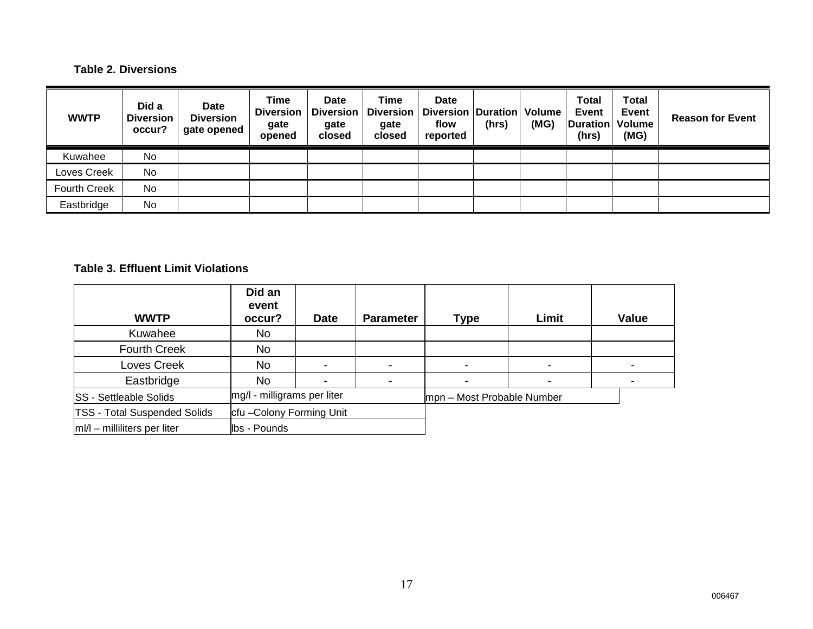### **Table 2. Diversions**

| <b>WWTP</b>         | Did a<br><b>Diversion</b><br>occur? | Date<br><b>Diversion</b><br>gate opened | Time<br><b>Diversion</b><br>gate<br>opened | <b>Date</b><br><b>Diversion</b><br>gate<br>closed | Time<br><b>Diversion</b><br>gate<br>closed | <b>Date</b><br>Diversion   Duration   Volume<br>flow<br>reported | (hrs) | (MG) | <b>Total</b><br><b>Event</b><br>Duration   Volume<br>(hrs) | <b>Total</b><br>Event<br>(MG) | <b>Reason for Event</b> |
|---------------------|-------------------------------------|-----------------------------------------|--------------------------------------------|---------------------------------------------------|--------------------------------------------|------------------------------------------------------------------|-------|------|------------------------------------------------------------|-------------------------------|-------------------------|
| Kuwahee             | No                                  |                                         |                                            |                                                   |                                            |                                                                  |       |      |                                                            |                               |                         |
| Loves Creek         | No                                  |                                         |                                            |                                                   |                                            |                                                                  |       |      |                                                            |                               |                         |
| <b>Fourth Creek</b> | No                                  |                                         |                                            |                                                   |                                            |                                                                  |       |      |                                                            |                               |                         |
| Eastbridge          | No                                  |                                         |                                            |                                                   |                                            |                                                                  |       |      |                                                            |                               |                         |

### **Table 3. Effluent Limit Violations**

| <b>WWTP</b>                         | Did an<br>event<br>occur?   | <b>Date</b> | <b>Parameter</b> | <b>Type</b>                | Limit | <b>Value</b> |
|-------------------------------------|-----------------------------|-------------|------------------|----------------------------|-------|--------------|
| Kuwahee                             | No                          |             |                  |                            |       |              |
| <b>Fourth Creek</b>                 | <b>No</b>                   |             |                  |                            |       |              |
| Loves Creek                         | No                          |             | -                |                            |       |              |
| Eastbridge                          | No                          |             | -                |                            |       |              |
| <b>SS</b> - Settleable Solids       | mg/l - milligrams per liter |             |                  | mpn – Most Probable Number |       |              |
| <b>TSS - Total Suspended Solids</b> | cfu-Colony Forming Unit     |             |                  |                            |       |              |
| $ m /l$ – milliliters per liter     | <b>Ibs</b> - Pounds         |             |                  |                            |       |              |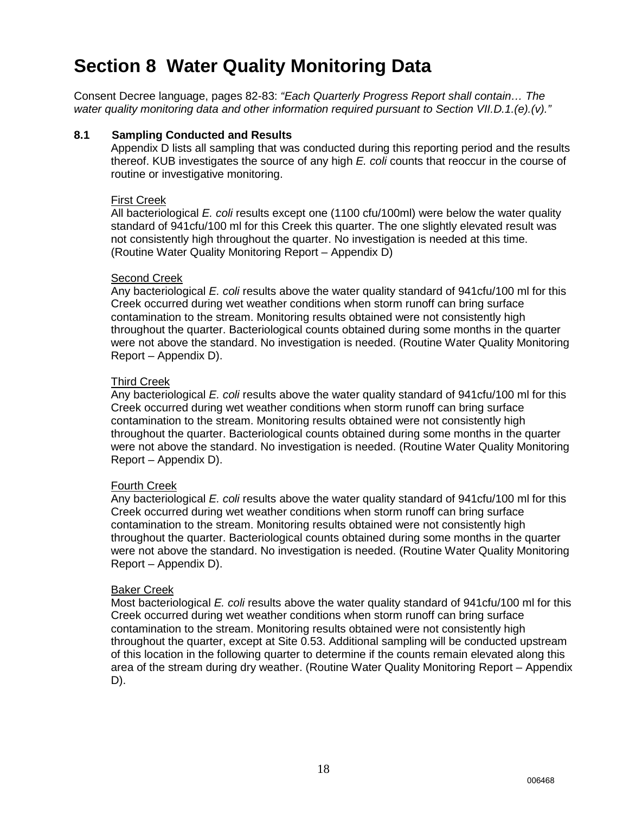### **Section 8 Water Quality Monitoring Data**

Consent Decree language, pages 82-83: *"Each Quarterly Progress Report shall contain… The water quality monitoring data and other information required pursuant to Section VII.D.1.(e).(v)."*

#### **8.1 Sampling Conducted and Results**

Appendix D lists all sampling that was conducted during this reporting period and the results thereof. KUB investigates the source of any high *E. coli* counts that reoccur in the course of routine or investigative monitoring.

#### First Creek

All bacteriological *E. coli* results except one (1100 cfu/100ml) were below the water quality standard of 941 cfu/100 ml for this Creek this quarter. The one slightly elevated result was not consistently high throughout the quarter. No investigation is needed at this time. (Routine Water Quality Monitoring Report – Appendix D)

#### Second Creek

Any bacteriological *E. coli* results above the water quality standard of 941cfu/100 ml for this Creek occurred during wet weather conditions when storm runoff can bring surface contamination to the stream. Monitoring results obtained were not consistently high throughout the quarter. Bacteriological counts obtained during some months in the quarter were not above the standard. No investigation is needed. (Routine Water Quality Monitoring Report – Appendix D).

#### Third Creek

Any bacteriological *E. coli* results above the water quality standard of 941cfu/100 ml for this Creek occurred during wet weather conditions when storm runoff can bring surface contamination to the stream. Monitoring results obtained were not consistently high throughout the quarter. Bacteriological counts obtained during some months in the quarter were not above the standard. No investigation is needed. (Routine Water Quality Monitoring Report – Appendix D).

#### Fourth Creek

Any bacteriological *E. coli* results above the water quality standard of 941cfu/100 ml for this Creek occurred during wet weather conditions when storm runoff can bring surface contamination to the stream. Monitoring results obtained were not consistently high throughout the quarter. Bacteriological counts obtained during some months in the quarter were not above the standard. No investigation is needed. (Routine Water Quality Monitoring Report – Appendix D).

#### Baker Creek

Most bacteriological *E. coli* results above the water quality standard of 941cfu/100 ml for this Creek occurred during wet weather conditions when storm runoff can bring surface contamination to the stream. Monitoring results obtained were not consistently high throughout the quarter, except at Site 0.53. Additional sampling will be conducted upstream of this location in the following quarter to determine if the counts remain elevated along this area of the stream during dry weather. (Routine Water Quality Monitoring Report – Appendix D).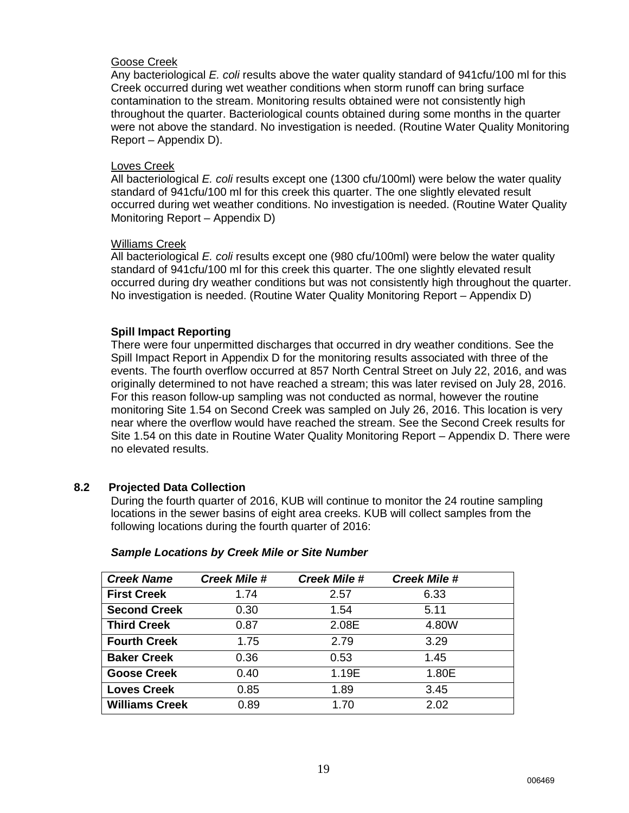#### Goose Creek

Any bacteriological *E. coli* results above the water quality standard of 941cfu/100 ml for this Creek occurred during wet weather conditions when storm runoff can bring surface contamination to the stream. Monitoring results obtained were not consistently high throughout the quarter. Bacteriological counts obtained during some months in the quarter were not above the standard. No investigation is needed. (Routine Water Quality Monitoring Report – Appendix D).

#### Loves Creek

All bacteriological *E. coli* results except one (1300 cfu/100ml) were below the water quality standard of 941cfu/100 ml for this creek this quarter. The one slightly elevated result occurred during wet weather conditions. No investigation is needed. (Routine Water Quality Monitoring Report – Appendix D)

#### Williams Creek

All bacteriological *E. coli* results except one (980 cfu/100ml) were below the water quality standard of 941cfu/100 ml for this creek this quarter. The one slightly elevated result occurred during dry weather conditions but was not consistently high throughout the quarter. No investigation is needed. (Routine Water Quality Monitoring Report – Appendix D)

#### **Spill Impact Reporting**

There were four unpermitted discharges that occurred in dry weather conditions. See the Spill Impact Report in Appendix D for the monitoring results associated with three of the events. The fourth overflow occurred at 857 North Central Street on July 22, 2016, and was originally determined to not have reached a stream; this was later revised on July 28, 2016. For this reason follow-up sampling was not conducted as normal, however the routine monitoring Site 1.54 on Second Creek was sampled on July 26, 2016. This location is very near where the overflow would have reached the stream. See the Second Creek results for Site 1.54 on this date in Routine Water Quality Monitoring Report – Appendix D. There were no elevated results.

#### **8.2 Projected Data Collection**

During the fourth quarter of 2016, KUB will continue to monitor the 24 routine sampling locations in the sewer basins of eight area creeks. KUB will collect samples from the following locations during the fourth quarter of 2016:

| <b>Creek Name</b>     | <b>Creek Mile #</b> | <b>Creek Mile #</b> | <b>Creek Mile #</b> |  |
|-----------------------|---------------------|---------------------|---------------------|--|
| <b>First Creek</b>    | 1.74                | 2.57                | 6.33                |  |
| <b>Second Creek</b>   | 0.30                | 1.54                | 5.11                |  |
| <b>Third Creek</b>    | 0.87                | 2.08E               | 4.80W               |  |
| <b>Fourth Creek</b>   | 1.75                | 2.79                | 3.29                |  |
| <b>Baker Creek</b>    | 0.36                | 0.53                | 1.45                |  |
| <b>Goose Creek</b>    | 0.40                | 1.19E               | 1.80E               |  |
| <b>Loves Creek</b>    | 0.85                | 1.89                | 3.45                |  |
| <b>Williams Creek</b> | 0.89                | 1.70                | 2.02                |  |

#### *Sample Locations by Creek Mile or Site Number*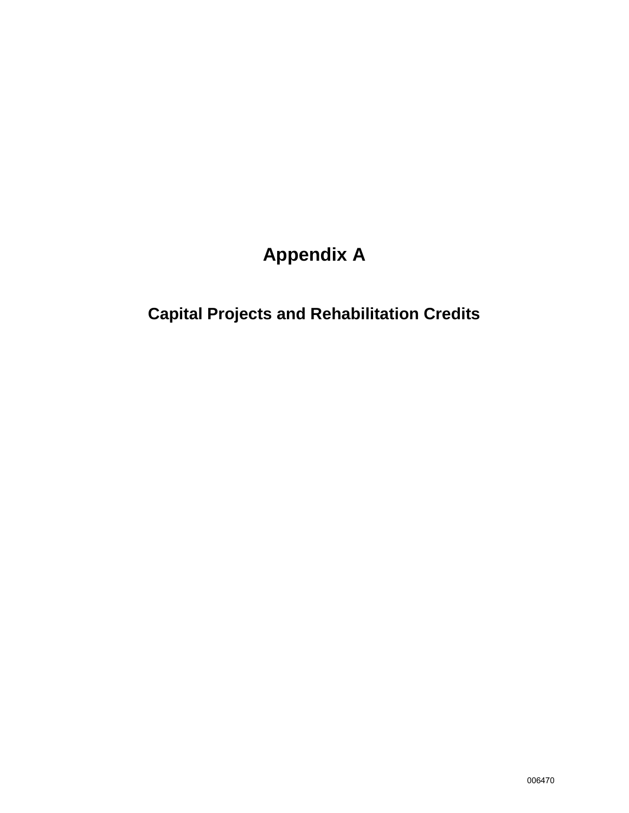# **Appendix A**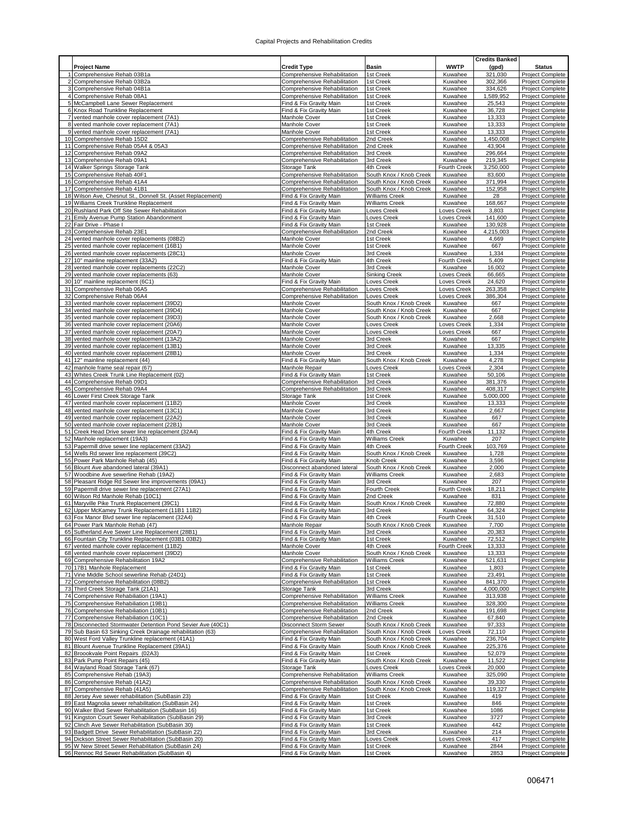|                 |                                                                                                             |                                                              |                                                  |                            | <b>Credits Banked</b> |                                                    |
|-----------------|-------------------------------------------------------------------------------------------------------------|--------------------------------------------------------------|--------------------------------------------------|----------------------------|-----------------------|----------------------------------------------------|
|                 | <b>Project Name</b>                                                                                         | <b>Credit Type</b>                                           | Basin                                            | <b>WWTP</b>                | (gpd)                 | <b>Status</b>                                      |
|                 | Comprehensive Rehab 03B1a                                                                                   | Comprehensive Rehabilitation                                 | 1st Creek                                        | Kuwahee                    | 321,030               | <b>Project Complete</b>                            |
|                 | 2 Comprehensive Rehab 03B2a                                                                                 | Comprehensive Rehabilitation                                 | 1st Creek                                        | Kuwahee                    | 302,366               | <b>Project Complete</b>                            |
|                 | 3 Comprehensive Rehab 04B1a                                                                                 | Comprehensive Rehabilitation                                 | 1st Creek                                        | Kuwahee                    | 334,626               | Project Complete                                   |
|                 | 4 Comprehensive Rehab 08A1<br>5 McCampbell Lane Sewer Replacement                                           | Comprehensive Rehabilitation<br>Find & Fix Gravity Main      | 1st Creek<br>1st Creek                           | Kuwahee<br>Kuwahee         | 1,589,952             | <b>Project Complete</b>                            |
|                 | 6 Knox Road Trunkline Replacement                                                                           | Find & Fix Gravity Main                                      | 1st Creek                                        | Kuwahee                    | 25,543<br>36,728      | Project Complete<br><b>Project Complete</b>        |
| 7               | vented manhole cover replacement (7A1)                                                                      | <b>Manhole Cover</b>                                         | 1st Creek                                        | Kuwahee                    | 13,333                | Project Complete                                   |
|                 | vented manhole cover replacement (7A1)                                                                      | Manhole Cover                                                | 1st Creek                                        | Kuwahee                    | 13,333                | Project Complete                                   |
| 9               | vented manhole cover replacement (7A1)                                                                      | Manhole Cover                                                | 1st Creek                                        | Kuwahee                    | 13,333                | Project Complete                                   |
|                 | 10 Comprehensive Rehab 15D2                                                                                 | Comprehensive Rehabilitation                                 | 2nd Creek                                        | Kuwahee                    | 1,450,008             | Project Complete                                   |
| 11              | Comprehensive Rehab 05A4 & 05A3                                                                             | Comprehensive Rehabilitation                                 | 2nd Creek                                        | Kuwahee                    | 43,904                | Project Complete                                   |
|                 | 12 Comprehensive Rehab 09A2                                                                                 | Comprehensive Rehabilitation                                 | 3rd Creek                                        | Kuwahee                    | 296,664               | Project Complete                                   |
|                 | 13 Comprehensive Rehab 09A1                                                                                 | Comprehensive Rehabilitation                                 | 3rd Creek                                        | Kuwahee                    | 219,345               | Project Complete                                   |
|                 | 14 Walker Springs Storage Tank<br>15 Comprehensive Rehab 40F1                                               | Storage Tank<br>Comprehensive Rehabilitation                 | 4th Creek<br>South Knox / Knob Creek             | Fourth Creek<br>Kuwahee    | 3,250,000<br>83,600   | Project Complete<br>Project Complete               |
|                 | 16 Comprehensive Rehab 41A4                                                                                 | Comprehensive Rehabilitation                                 | South Knox / Knob Creek                          | Kuwahee                    | 371,994               | Project Complete                                   |
| 17              | Comprehensive Rehab 41B1                                                                                    | Comprehensive Rehabilitation                                 | South Knox / Knob Creek                          | Kuwahee                    | 152,958               | Project Complete                                   |
|                 | 18 Wilson Ave, Chesnut St., Donnell St. (Asset Replacement)                                                 | Find & Fix Gravity Main                                      | <b>Williams Creek</b>                            | Kuwahee                    | 28                    | Project Complete                                   |
|                 | 19 Williams Creek Trunkline Replacement                                                                     | Find & Fix Gravity Main                                      | Williams Creek                                   | Kuwahee                    | 168,667               | <b>Project Complete</b>                            |
|                 | 20 Rushland Park Off Site Sewer Rehabilitation                                                              | Find & Fix Gravity Main                                      | Loves Creek                                      | Loves Creek                | 3,803                 | Project Complete                                   |
|                 | 21 Emily Avenue Pump Station Abandonment                                                                    | Find & Fix Gravity Main                                      | Loves Creek                                      | Loves Creek                | 141,600               | Project Complete                                   |
| 22              | Fair Drive - Phase I                                                                                        | Find & Fix Gravity Main                                      | 1st Creek                                        | Kuwahee                    | 130,928               | Project Complete                                   |
|                 | 23 Comprehensive Rehab 23E1                                                                                 | Comprehensive Rehabilitation                                 | 2nd Creek                                        | Kuwahee                    | 4,215,003             | Project Complete                                   |
| 24              | vented manhole cover replacements (08B2)                                                                    | Manhole Cover                                                | 1st Creek                                        | Kuwahee                    | 4,669                 | Project Complete                                   |
|                 | 25 vented manhole cover replacement (16B1)                                                                  | Manhole Cover                                                | 1st Creek                                        | Kuwahee                    | 667                   | Project Complete                                   |
|                 | 26 vented manhole cover replacements (28C1)<br>27 10" mainline replacement (33A2)                           | Manhole Cover<br>Find & Fix Gravity Main                     | 3rd Creek<br>4th Creek                           | Kuwahee<br>Fourth Creek    | 1,334<br>5,409        | Project Complete<br><b>Project Complete</b>        |
|                 | 28 vented manhole cover replacements (22C2)                                                                 | Manhole Cover                                                | 3rd Creek                                        | Kuwahee                    | 16,002                | Project Complete                                   |
|                 | 29 vented manhole cover replacements (63)                                                                   | Manhole Cover                                                | <b>Sinking Creek</b>                             | Loves Creek                | 66,665                | Project Complete                                   |
| 30 <sub>l</sub> | 10" mainline replacement (6C1)                                                                              | Find & Fix Gravity Main                                      | Loves Creek                                      | Loves Creek                | 24,620                | Project Complete                                   |
|                 | 31 Comprehensive Rehab 06A5                                                                                 | Comprehensive Rehabilitation                                 | Loves Creek                                      | Loves Creek                | 263,358               | Project Complete                                   |
| 32              | Comprehensive Rehab 06A4                                                                                    | Comprehensive Rehabilitation                                 | Loves Creek                                      | Loves Creek                | 386,304               | <b>Project Complete</b>                            |
| 33              | vented manhole cover replacement (39D2)                                                                     | Manhole Cover                                                | South Knox / Knob Creek                          | Kuwahee                    | 667                   | <b>Project Complete</b>                            |
|                 | 34 vented manhole cover replacement (39D4)                                                                  | Manhole Cover                                                | South Knox / Knob Creek                          | Kuwahee                    | 667                   | Project Complete                                   |
| 35              | vented manhole cover replacement (39D3)                                                                     | <b>Manhole Cover</b>                                         | South Knox / Knob Creek                          | Kuwahee                    | 2,668                 | <b>Project Complete</b><br><b>Project Complete</b> |
| 36<br>37        | vented manhole cover replacement (20A6)<br>vented manhole cover replacement (20A7)                          | Manhole Cover<br>Manhole Cover                               | Loves Creek<br>Loves Creek                       | Loves Creek<br>Loves Creek | 1,334<br>667          | Project Complete                                   |
| 38              | vented manhole cover replacement (13A2)                                                                     | Manhole Cover                                                | 3rd Creek                                        | Kuwahee                    | 667                   | Project Complete                                   |
| 39              | vented manhole cover replacement (13B1)                                                                     | Manhole Cover                                                | 3rd Creek                                        | Kuwahee                    | 13,335                | Project Complete                                   |
|                 | 40 vented manhole cover replacement (28B1)                                                                  | Manhole Cover                                                | 3rd Creek                                        | Kuwahee                    | 1,334                 | Project Complete                                   |
|                 | 41 12" mainline replacement (44)                                                                            | Find & Fix Gravity Main                                      | South Knox / Knob Creek                          | Kuwahee                    | 4,278                 | <b>Project Complete</b>                            |
| 42              | manhole frame seal repair (67)                                                                              | Manhole Repair                                               | Loves Creek                                      | oves Creek                 | 2,304                 | Project Complete                                   |
| 43              | Whites Creek Trunk Line Replacement (02)                                                                    | Find & Fix Gravity Main                                      | 1st Creek                                        | Kuwahee                    | 50,106                | Project Complete                                   |
|                 | 44 Comprehensive Rehab 09D1                                                                                 | Comprehensive Rehabilitation                                 | 3rd Creek                                        | Kuwahee                    | 381,376               | Project Complete                                   |
|                 | 45 Comprehensive Rehab 09A4                                                                                 | Comprehensive Rehabilitation                                 | 3rd Creek                                        | Kuwahee                    | 408,317               | Project Complete                                   |
|                 | 46 Lower First Creek Storage Tank                                                                           | Storage Tank                                                 | 1st Creek                                        | Kuwahee                    | 5,000,000             | Project Complete                                   |
| 47              | vented manhole cover replacement (11B2)<br>vented manhole cover replacement (13C1)                          | Manhole Cover<br><b>Manhole Cover</b>                        | 3rd Creek<br>3rd Creek                           | Kuwahee<br>Kuwahee         | 13,333<br>2,667       | <b>Project Complete</b><br>Project Complete        |
| 49              | vented manhole cover replacement (22A2)                                                                     | Manhole Cover                                                | 3rd Creek                                        | Kuwahee                    | 667                   | Project Complete                                   |
| 50              | vented manhole cover replacement (22B1)                                                                     | Manhole Cover                                                | 3rd Creek                                        | Kuwahee                    | 667                   | Project Complete                                   |
|                 | Creek Head Drive sewer line replacement (32A4)                                                              | Find & Fix Gravity Main                                      | 4th Creek                                        | Fourth Creek               | 11,132                | <b>Project Complete</b>                            |
| 52              | Manhole replacement (19A3)                                                                                  | Find & Fix Gravity Main                                      | Williams Creek                                   | Kuwahee                    | 207                   | Project Complete                                   |
|                 | 53 Papermill drive sewer line replacement (33A2)                                                            | Find & Fix Gravity Main                                      | 4th Creek                                        | Fourth Creek               | 103,769               | Project Complete                                   |
|                 | 54 Wells Rd sewer line replacement (39C2)                                                                   | Find & Fix Gravity Main                                      | South Knox / Knob Creek                          | Kuwahee                    | 1,728                 | <b>Project Complete</b>                            |
| 55              | Power Park Manhole Rehab (45)                                                                               | Find & Fix Gravity Main                                      | Knob Creek                                       | Kuwahee                    | 3,596                 | <b>Project Complete</b>                            |
|                 | 56 Blount Ave abandoned lateral (39A1)<br>57 Woodbine Ave sewerline Rehab (19A2)                            | Disconnect abandoned lateral<br>Find & Fix Gravity Main      | South Knox / Knob Creek<br><b>Williams Creek</b> | Kuwahee<br>Kuwahee         | 2,000<br>2,683        | Project Complete                                   |
|                 | 58 Pleasant Ridge Rd Sewer line improvements (09A1)                                                         | Find & Fix Gravity Main                                      | 3rd Creek                                        | Kuwahee                    | 207                   | <b>Project Complete</b><br>Project Complete        |
|                 | 59 Papermill drive sewer line replacement (27A1)                                                            | Find & Fix Gravity Main                                      | Fourth Creek                                     | Fourth Creek               | 18,211                | Project Complete                                   |
| 60              | Wilson Rd Manhole Rehab (10C1)                                                                              | Find & Fix Gravity Main                                      | 2nd Creek                                        | Kuwahee                    | 831                   | <b>Project Complete</b>                            |
| 61              | Maryville Pike Trunk Replacement (39C1)                                                                     | Find & Fix Gravity Main                                      | South Knox / Knob Creek                          | Kuwahee                    | 72,880                | Project Complete                                   |
|                 | 62 Upper McKamey Trunk Replacement (11B1 11B2)                                                              | Find & Fix Gravity Main                                      | 3rd Creek                                        | Kuwahee                    | 64,324                | <b>Project Complete</b>                            |
|                 | 63 Fox Manor Blvd sewer line replacement (32A4)                                                             | Find & Fix Gravity Main                                      | 4th Creek                                        | Fourth Creek               | 31,510                | Project Complete                                   |
|                 | 64 Power Park Manhole Rehab (47)                                                                            | Manhole Repair                                               | South Knox / Knob Creek                          | Kuwahee                    | 7,700                 | Project Complete                                   |
|                 | 65 Sutherland Ave Sewer Line Replacement (28B1)<br>66 Fountain City Trunkline Replacement (03B1 03B2)       | Find & Fix Gravity Main<br>Find & Fix Gravity Main           | 3rd Creek<br>1st Creek                           | Kuwahee<br>Kuwahee         | 20,383<br>72,512      | <b>Project Complete</b><br>Project Complete        |
|                 | vented manhole cover replacement (11B2)                                                                     | Manhole Cover                                                | 4th Creek                                        | Fourth Creek               | 13,333                | Project Complete                                   |
|                 | 68 vented manhole cover replacement (39D2)                                                                  | Manhole Cover                                                | South Knox / Knob Creek                          | Kuwahee                    | 13,333                | Project Complete                                   |
|                 | 69 Comprehensive Rehabilitation 19A2                                                                        | Comprehensive Rehabilitation                                 | Williams Creek                                   | Kuwahee                    | 521,631               | <b>Project Complete</b>                            |
|                 | 70 17B1 Manhole Replacement                                                                                 | Find & Fix Gravity Main                                      | 1st Creek                                        | Kuwahee                    | 1,803                 | <b>Project Complete</b>                            |
|                 | 71 Vine Middle School sewerline Rehab (24D1)                                                                | Find & Fix Gravity Main                                      | 1st Creek                                        | Kuwahee                    | 23,491                | Project Complete                                   |
|                 | 72 Comprehensive Rehabilitation (08B2)                                                                      | Comprehensive Rehabilitation                                 | 1st Creek                                        | Kuwahee                    | 841,370               | Project Complete                                   |
|                 | 73 Third Creek Storage Tank (21A1)                                                                          | Storage Tank                                                 | 3rd Creek                                        | Kuwahee                    | 4,000,000             | Project Complete                                   |
|                 | 74 Comprehensive Rehabiliation (19A1)<br>75 Comprehensive Rehabiliation (19B1)                              | Comprehensive Rehabilitation<br>Comprehensive Rehabilitation | <b>Williams Creek</b><br><b>Williams Creek</b>   | Kuwahee<br>Kuwahee         | 313,938<br>328.300    | Project Complete<br><b>Project Complete</b>        |
|                 | 76 Comprehensive Rehabiliation (10B1)                                                                       | Comprehensive Rehabilitation                                 | 2nd Creek                                        | Kuwahee                    | 191,698               | <b>Project Complete</b>                            |
|                 | 77 Comprehensive Rehabiliation (10C1)                                                                       | Comprehensive Rehabilitation                                 | 2nd Creek                                        | Kuwahee                    | 67,840                | Project Complete                                   |
|                 | 78 Disconnected Stormwater Detention Pond Sevier Ave (40C1)                                                 | Disconnect Storm Sewer                                       | South Knox / Knob Creek                          | Kuwahee                    | 97,333                | Project Complete                                   |
|                 | 79 Sub Basin 63 Sinking Creek Drainage rehabilitation (63)                                                  | Comprehensive Rehabilitation                                 | South Knox / Knob Creek                          | Loves Creek                | 72,110                | Project Complete                                   |
|                 | 80 West Ford Valley Trunkline replacement (41A1)                                                            | Find & Fix Gravity Main                                      | South Knox / Knob Creek                          | Kuwahee                    | 236,704               | Project Complete                                   |
|                 | 81 Blount Avenue Trunkline Replacement (39A1)                                                               | Find & Fix Gravity Main                                      | South Knox / Knob Creek                          | Kuwahee                    | 225,376               | Project Complete                                   |
|                 | 82 Broookvale Point Repairs (02A3)                                                                          | Find & Fix Gravity Main                                      | 1st Creek                                        | Kuwahee                    | 52,079                | Project Complete                                   |
|                 | 83 Park Pump Point Repairs (45)                                                                             | Find & Fix Gravity Main                                      | South Knox / Knob Creek                          | Kuwahee<br>Loves Creek     | 11,522                | Project Complete                                   |
|                 | 84 Wayland Road Storage Tank (67)<br>85 Comprehensive Rehab (19A3)                                          | Storage Tank<br>Comprehensive Rehabilitation                 | Loves Creek<br><b>Williams Creek</b>             | Kuwahee                    | 20,000<br>325,090     | Project Complete<br>Project Complete               |
|                 | 86 Comprehensive Rehab (41A2)                                                                               | Comprehensive Rehabilitation                                 | South Knox / Knob Creek                          | Kuwahee                    | 39,330                | Project Complete                                   |
|                 | 87 Comprehensive Rehab (41A5)                                                                               | Comprehensive Rehabilitation                                 | South Knox / Knob Creek                          | Kuwahee                    | 119,327               | Project Complete                                   |
|                 | Jersey Ave sewer rehabilitation (SubBasin 23)                                                               | Find & Fix Gravity Main                                      | 1st Creek                                        | Kuwahee                    | 419                   | <b>Project Complete</b>                            |
|                 | 89 East Magnolia sewer rehabilitation (SubBasin 24)                                                         | Find & Fix Gravity Main                                      | 1st Creek                                        | Kuwahee                    | 846                   | Project Complete                                   |
|                 | 90 Walker Blvd Sewer Rehabilitation (SubBasin 16)                                                           | Find & Fix Gravity Main                                      | 1st Creek                                        | Kuwahee                    | 1086                  | Project Complete                                   |
|                 | 91 Kingston Court Sewer Rehabilitation (SubBasin 29)                                                        | Find & Fix Gravity Main                                      | 3rd Creek                                        | Kuwahee                    | 3727                  | Project Complete                                   |
|                 | Clinch Ave Sewer Rehabilitation (SubBasin 30)                                                               | Find & Fix Gravity Main                                      | 1st Creek                                        | Kuwahee                    | 442                   | Project Complete                                   |
|                 | 93 Badgett Drive Sewer Rehabilitation (SubBasin 22)<br>94 Dickson Street Sewer Rehabilitation (SubBasin 20) | Find & Fix Gravity Main                                      | 3rd Creek                                        | Kuwahee                    | 214<br>417            | Project Complete                                   |
|                 | 95 W New Street Sewer Rehabilitation (SubBasin 24)                                                          | Find & Fix Gravity Main<br>Find & Fix Gravity Main           | Loves Creek<br>1st Creek                         | Loves Creek<br>Kuwahee     | 2844                  | Project Complete<br>Project Complete               |
|                 | 96 Rennoc Rd Sewer Rehabilitation (SubBasin 4)                                                              | Find & Fix Gravity Main                                      | 1st Creek                                        | Kuwahee                    | 2853                  | Project Complete                                   |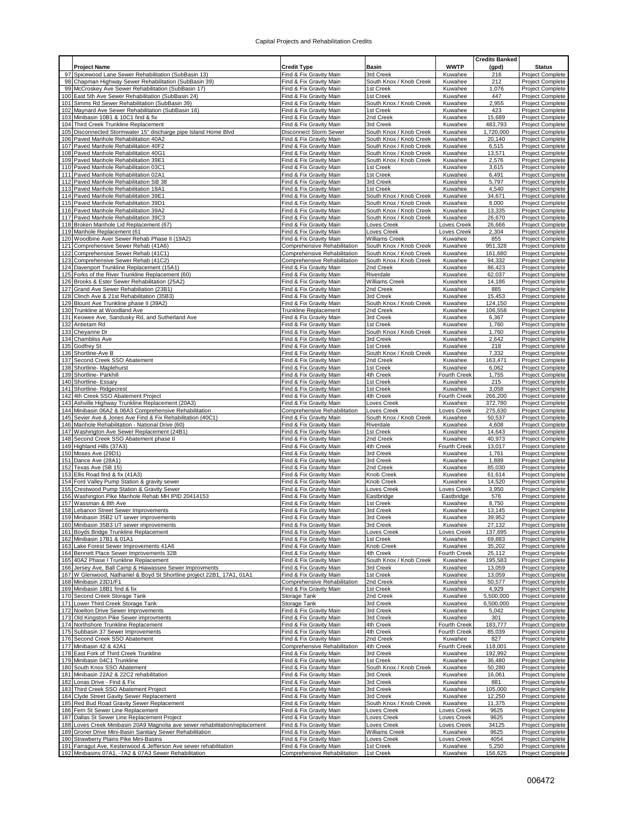|            |                                                                                                     |                                                         |                                        |                         | <b>Credits Banked</b> |                                             |
|------------|-----------------------------------------------------------------------------------------------------|---------------------------------------------------------|----------------------------------------|-------------------------|-----------------------|---------------------------------------------|
|            | <b>Project Name</b>                                                                                 | <b>Credit Type</b>                                      | Basin                                  | <b>WWTP</b>             | (gpd)                 | <b>Status</b>                               |
|            | Spicewood Lane Sewer Rehabilitation (SubBasin 13)                                                   | Find & Fix Gravity Main                                 | 3rd Creek                              | Kuwahee                 | 216                   | Project Complete                            |
| 98         | Chapman Highway Sewer Rehabilitation (SubBasin 39)                                                  | Find & Fix Gravity Main                                 | South Knox / Knob Creek                | Kuwahee                 | 212                   | Project Complete                            |
|            | McCroskey Ave Sewer Rehabilitation (SubBasin 17)                                                    | Find & Fix Gravity Main                                 | 1st Creek                              | Kuwahee                 | 1,076                 | <b>Project Complete</b>                     |
| 100        | East 5th Ave Sewer Rehabilitation (SubBasin 24)                                                     | Find & Fix Gravity Main                                 | 1st Creek                              | Kuwahee                 | 447                   | <b>Project Complete</b>                     |
| 101        | Simms Rd Sewer Rehabilitation (SubBasin 39)                                                         | Find & Fix Gravity Main                                 | South Knox / Knob Creek                | Kuwahee                 | 2,955                 | Project Complete                            |
| 102        | Maynard Ave Sewer Rehabilitation (SubBasin 16)                                                      | Find & Fix Gravity Main                                 | 1st Creek                              | Kuwahee                 | 423                   | Project Complete                            |
| 103        | Minibasin 10B1 & 10C1 find & fix                                                                    | Find & Fix Gravity Main                                 | 2nd Creek<br>3rd Creek                 | Kuwahee<br>Kuwahee      | 15,689<br>483,793     | <b>Project Complete</b>                     |
| 104<br>105 | Third Creek Trunkline Replacement<br>Disconnected Stormwater 15" discharge pipe Island Home Blvd    | Find & Fix Gravity Main<br>Disconnect Storm Sewer       | South Knox / Knob Creek                | Kuwahee                 | 1,720,000             | Project Complete<br>Project Complete        |
| 106        | Paved Manhole Rehabilitation 40A2                                                                   | Find & Fix Gravity Main                                 | South Knox / Knob Creek                | Kuwahee                 | 20,140                | <b>Project Complete</b>                     |
| 107        | Paved Manhole Rehabilitation 40F2                                                                   | Find & Fix Gravity Main                                 | South Knox / Knob Creek                | Kuwahee                 | 6,515                 | Project Complete                            |
| 108        | Paved Manhole Rehabilitation 40G1                                                                   | Find & Fix Gravity Main                                 | South Knox / Knob Creek                | Kuwahee                 | 13,571                | <b>Project Complete</b>                     |
| 109        | Paved Manhole Rehabilitation 39E1                                                                   | Find & Fix Gravity Main                                 | South Knox / Knob Creek                | Kuwahee                 | 2,576                 | Project Complete                            |
| 110        | Paved Manhole Rehabilitation 03C1                                                                   | Find & Fix Gravity Main                                 | 1st Creek                              | Kuwahee                 | 3,615                 | Project Complete                            |
| 111        | Paved Manhole Rehabilitation 02A1                                                                   | Find & Fix Gravity Main                                 | 1st Creek                              | Kuwahee                 | 6,491                 | Project Complete                            |
| 112        | Paved Manhole Rehabilitation SB 38                                                                  | Find & Fix Gravity Main                                 | 3rd Creek                              | Kuwahee                 | 5,797                 | <b>Project Complete</b>                     |
| 113        | Paved Manhole Rehabilitation 18A1                                                                   | Find & Fix Gravity Main                                 | 1st Creek                              | Kuwahee                 | 4,540                 | Project Complete                            |
| 114        | Paved Manhole Rehabilitation 39E1                                                                   | Find & Fix Gravity Main                                 | South Knox / Knob Creek                | Kuwahee                 | 34,671                | Project Complete                            |
| 115        | Paved Manhole Rehabilitation 39D1                                                                   | Find & Fix Gravity Main                                 | South Knox / Knob Creek                | Kuwahee                 | 8,000                 | Project Complete                            |
| 116        | Paved Manhole Rehabilitation 39A2                                                                   | Find & Fix Gravity Main                                 | South Knox / Knob Creek                | Kuwahee                 | 13,335                | Project Complete                            |
| 117<br>118 | Paved Manhole Rehabilitation 39C3<br>Broken Manhole Lid Replacement (67)                            | Find & Fix Gravity Main<br>Find & Fix Gravity Main      | South Knox / Knob Creek<br>Loves Creek | Kuwahee<br>Loves Creek  | 26,670<br>26,666      | Project Complete<br>Project Complete        |
| 119        | Manhole Replacement (61                                                                             | Find & Fix Gravity Main                                 | Loves Creek                            | Loves Creek             | 2,304                 | Project Complete                            |
| 120        | Woodbine Aver Sewer Rehab Phase II (19A2)                                                           | Find & Fix Gravity Main                                 | Williams Creek                         | Kuwahee                 | 855                   | Project Complete                            |
| 121        | Comprehensive Sewer Rehab (41A6)                                                                    | Comprehensive Rehabilitation                            | South Knox / Knob Creek                | Kuwahee                 | 951,328               | <b>Project Complete</b>                     |
| 122        | Comprehensive Sewer Rehab (41C1)                                                                    | Comprehensive Rehabilitation                            | South Knox / Knob Creek                | Kuwahee                 | 161,680               | Project Complete                            |
| 123        | Comprehensive Sewer Rehab (41C2)                                                                    | Comprehensive Rehabilitation                            | South Knox / Knob Creek                | Kuwahee                 | 94,332                | Project Complete                            |
| 124        | Davenport Trunkline Replacement (15A1)                                                              | Find & Fix Gravity Main                                 | 2nd Creek                              | Kuwahee                 | 86,423                | <b>Project Complete</b>                     |
| 125        | Forks of the River Trunkline Replacement (60)                                                       | Find & Fix Gravity Main                                 | Riverdale                              | Kuwahee                 | 62,037                | Project Complete                            |
| 126        | Brooks & Ester Sewer Rehabilitation (25A2)                                                          | Find & Fix Gravity Main                                 | Williams Creek                         | Kuwahee                 | 14,186                | Project Complete                            |
| 127        | Grand Ave Sewer Rehabiliation (23B1)                                                                | Find & Fix Gravity Main                                 | 2nd Creek                              | Kuwahee                 | 885                   | Project Complete                            |
| 128        | Clinch Ave & 21st Rehabilitation (35B3)                                                             | Find & Fix Gravity Main                                 | 3rd Creek                              | Kuwahee                 | 15,453                | Project Complete                            |
|            | 129 Blount Ave Trunkline phase II (39A2)                                                            | Find & Fix Gravity Main                                 | South Knox / Knob Creek                | Kuwahee                 | 124,150               | Project Complete<br><b>Project Complete</b> |
| 130<br>131 | Trunkline at Woodland Ave<br>Keowee Ave, Sandusky Rd, and Sutherland Ave                            | <b>Trunkline Replacement</b><br>Find & Fix Gravity Main | 2nd Creek<br>3rd Creek                 | Kuwahee<br>Kuwahee      | 106,558<br>6,367      |                                             |
| 132        | Antietam Rd                                                                                         | Find & Fix Gravity Main                                 | 1st Creek                              | Kuwahee                 | 1,760                 | <b>Project Complete</b><br>Project Complete |
| 133        | Cheyanne Dr                                                                                         | Find & Fix Gravity Main                                 | South Knox / Knob Creek                | Kuwahee                 | 1,760                 | <b>Project Complete</b>                     |
| 134        | <b>Chambliss Ave</b>                                                                                | Find & Fix Gravity Main                                 | 3rd Creek                              | Kuwahee                 | 2,642                 | Project Complete                            |
| 135        | Godfrey St                                                                                          | Find & Fix Gravity Main                                 | 1st Creek                              | Kuwahee                 | 218                   | Project Complete                            |
| 136        | Shortline-Ave B                                                                                     | Find & Fix Gravity Main                                 | South Knox / Knob Creek                | Kuwahee                 | 7,332                 | Project Complete                            |
| 137        | Second Creek SSO Abatement                                                                          | Find & Fix Gravity Main                                 | 2nd Creek                              | Kuwahee                 | 163,471               | <b>Project Complete</b>                     |
| 138        | Shortline- Maplehurst                                                                               | Find & Fix Gravity Main                                 | 1st Creek                              | Kuwahee                 | 6,062                 | Project Complete                            |
| 139        | Shortline- Parkhill                                                                                 | Find & Fix Gravity Main                                 | 4th Creek                              | Fourth Creek            | 1,755                 | Project Complete                            |
| 140        | Shortline- Essary                                                                                   | Find & Fix Gravity Main                                 | 1st Creek                              | Kuwahee                 | 215                   | Project Complete                            |
| 141        | Shortline-Ridgecrest                                                                                | Find & Fix Gravity Main                                 | 1st Creek                              | Kuwahee                 | 3,058                 | Project Complete                            |
| 142        | 4th Creek SSO Abatement Project                                                                     | Find & Fix Gravity Main                                 | 4th Creek                              | Fourth Creek<br>Kuwahee | 266,200               | Project Complete                            |
| 143<br>144 | Ashville Highway Trunkline Replacement (20A3)<br>Minibasin 06A2 & 06A3 Comprehensive Rehabilitation | Find & Fix Gravity Main<br>Comprehensive Rehabilitation | Loves Creek<br>Loves Creek             | Loves Creek             | 372,780<br>275,630    | Project Complete<br>Project Complete        |
| 145        | Sevier Ave & Jones Ave Find & Fix Rehabilitation (40C1)                                             | Find & Fix Gravity Main                                 | South Knox / Knob Creek                | Kuwahee                 | 50,537                | Project Complete                            |
| 146        | Manhole Rehabilitation - National Drive (60)                                                        | Find & Fix Gravity Main                                 | Riverdale                              | Kuwahee                 | 4,608                 | Project Complete                            |
| 147        | Washington Ave Sewer Replacement (24B1)                                                             | Find & Fix Gravity Main                                 | 1st Creek                              | Kuwahee                 | 14,643                | Project Complete                            |
| 148        | Second Creek SSO Abatement phase II                                                                 | Find & Fix Gravity Main                                 | 2nd Creek                              | Kuwahee                 | 40,973                | Project Complete                            |
| 149        | Highland Hills (37A3)                                                                               | Find & Fix Gravity Main                                 | 4th Creek                              | Fourth Creek            | 13,017                | Project Complete                            |
| 150        | Moses Ave (29D1)                                                                                    | Find & Fix Gravity Main                                 | 3rd Creek                              | Kuwahee                 | 1,761                 | <b>Project Complete</b>                     |
|            | 151 Dance Ave (28A1)                                                                                | Find & Fix Gravity Main                                 | 3rd Creek                              | Kuwahee                 | 1,889                 | <b>Project Complete</b>                     |
| 152        | Texas Ave (SB 15)                                                                                   | Find & Fix Gravity Main                                 | 2nd Creek                              | Kuwahee                 | 85,030                | Project Complete                            |
| 153        | Ellis Road find & fix (41A3)                                                                        | Find & Fix Gravity Main                                 | Knob Creek<br>Knob Creek               | Kuwahee                 | 61,614                | Project Complete                            |
| 155        | 154 Ford Valley Pump Station & gravity sewer<br>Crestwood Pump Station & Gravity Sewer              | Find & Fix Gravity Main<br>Find & Fix Gravity Main      | Loves Creek                            | Kuwahee<br>Loves Creek  | 14,520<br>3,950       | Project Complete<br>Project Complete        |
| 156        | Washington Pike Manhole Rehab MH IPID 20414153                                                      | Find & Fix Gravity Main                                 | Eastbridge                             | Eastbridge              | 576                   | <b>Project Complete</b>                     |
|            | 157 Wassman & 8th Ave                                                                               | Find & Fix Gravity Main                                 | 1st Creek                              | Kuwahee                 | 8,750                 | Project Complete                            |
|            | 158 Lebanon Street Sewer Improvements                                                               | Find & Fix Gravity Main                                 | 3rd Creek                              | Kuwahee                 | 13,145                | Project Complete                            |
|            | 159 Minibasin 35B2 UT sewer improvements                                                            | Find & Fix Gravity Main                                 | 3rd Creek                              | Kuwahee                 | 39,952                | Project Complete                            |
|            | 160 Minibasin 35B3 UT sewer improvements                                                            | Find & Fix Gravity Main                                 | 3rd Creek                              | Kuwahee                 | 27,132                | Project Complete                            |
|            | 161 Boyds Bridge Trunkline Replacement                                                              | Find & Fix Gravity Main                                 | Loves Creek                            | Loves Creek             | 137,695               | <b>Project Complete</b>                     |
|            | 162 Minibasin 17B1 & 01A1                                                                           | Find & Fix Gravity Main                                 | 1st Creek                              | Kuwahee                 | 69,883                | Project Complete                            |
|            | 163 Lake Forest Sewer Improvements 41A6                                                             | Find & Fix Gravity Main                                 | Knob Creek                             | Kuwahee                 | 35,202                | Project Complete                            |
|            | 164 Bennett Place Sewer Improvements 32B<br>165 40A2 Phase I Trunkline Replacement                  | Find & Fix Gravity Main<br>Find & Fix Gravity Main      | 4th Creek<br>South Knox / Knob Creek   | Fourth Creek<br>Kuwahee | 25,112<br>195,583     | <b>Project Complete</b>                     |
|            | 166 Jersey Ave, Ball Camp & Hiawassee Sewer Improvments                                             | Find & Fix Gravity Main                                 | 3rd Creek                              | Kuwahee                 | 13,059                | Project Complete<br>Project Complete        |
|            | 167 W Glenwood, Nathaniel & Boyd St Shortline project 22B1, 17A1, 01A1                              | Find & Fix Gravity Main                                 | 1st Creek                              | Kuwahee                 | 13,059                | <b>Project Complete</b>                     |
|            | 168 Minibasin 23D1/F1                                                                               | Comprehensive Rehabilitation                            | 2nd Creek                              | Kuwahee                 | 50,577                | <b>Project Complete</b>                     |
|            | 169 Minibasin 18B1 find & fix                                                                       | Find & Fix Gravity Main                                 | 1st Creek                              | Kuwahee                 | 4,929                 | Project Complete                            |
| 170        | Second Creek Storage Tank                                                                           | Storage Tank                                            | 2nd Creek                              | Kuwahee                 | 5,500,000             | Project Complete                            |
|            | 171 Lower Third Creek Storage Tank                                                                  | Storage Tank                                            | 3rd Creek                              | Kuwahee                 | 6,500,000             | <b>Project Complete</b>                     |
|            | 172 Noelton Drive Sewer Improvements                                                                | Find & Fix Gravity Main                                 | 3rd Creek                              | Kuwahee                 | 5,042                 | <b>Project Complete</b>                     |
|            | 173 Old Kingston Pike Sewer improvments                                                             | Find & Fix Gravity Main                                 | 3rd Creek                              | Kuwahee                 | 301                   | Project Complete                            |
|            | 174 Northshore Trunkline Replacement                                                                | Find & Fix Gravity Main                                 | 4th Creek                              | Fourth Creek            | 183,777               | <b>Project Complete</b>                     |
| 175        | Subbasin 37 Sewer Improvements<br>176 Second Creek SSO Abatement                                    | Find & Fix Gravity Main<br>Find & Fix Gravity Main      | 4th Creek<br>2nd Creek                 | Fourth Creek<br>Kuwahee | 85,039<br>827         | Project Complete<br>Project Complete        |
|            | 177 Minibasin 42 & 42A1                                                                             | Comprehensive Rehabilitation                            | 4th Creek                              | Fourth Creek            | 118.001               | <b>Project Complete</b>                     |
|            | 178 East Fork of Third Creek Trunkline                                                              | Find & Fix Gravity Main                                 | 3rd Creek                              | Kuwahee                 | 192,992               | Project Complete                            |
|            | 179 Minibasin 04C1 Trunkline                                                                        | Find & Fix Gravity Main                                 | 1st Creek                              | Kuwahee                 | 36,480                | Project Complete                            |
| 180        | South Knox SSO Abatement                                                                            | Find & Fix Gravity Main                                 | South Knox / Knob Creek                | Kuwahee                 | 50,280                | Project Complete                            |
| 181        | Minibasin 22A2 & 22C2 rehabilitation                                                                | Find & Fix Gravity Main                                 | 3rd Creek                              | Kuwahee                 | 16,061                | Project Complete                            |
|            | 182 Lonas Drive - Find & Fix                                                                        | Find & Fix Gravity Main                                 | 3rd Creek                              | Kuwahee                 | 881                   | Project Complete                            |
|            | 183 Third Creek SSO Abatement Project                                                               | Find & Fix Gravity Main                                 | 3rd Creek                              | Kuwahee                 | 105,000               | Project Complete                            |
|            | 184 Clyde Street Gavity Sewer Replacement                                                           | Find & Fix Gravity Main                                 | 3rd Creek                              | Kuwahee                 | 12,250                | Project Complete                            |
|            | 185 Red Bud Road Gravity Sewer Replacement                                                          | Find & Fix Gravity Main                                 | South Knox / Knob Creek                | Kuwahee                 | 11,375                | Project Complete                            |
|            | 186 Fern St Sewer Line Replacement                                                                  | Find & Fix Gravity Main                                 | Loves Creek                            | Loves Creek             | 9625                  | Project Complete                            |
| 187        | Dallas St Sewer Line Replacement Project                                                            | Find & Fix Gravity Main                                 | Loves Creek                            | Loves Creek             | 9625                  | Project Complete                            |
|            | 188 Loves Creek Minibasin 20A9 Magnolia ave sewer rehabilitation/replacement                        | Find & Fix Gravity Main                                 | Loves Creek                            | Loves Creek             | 34125                 | Project Complete                            |
|            | 189 Groner Drive Mini-Basin Sanitary Sewer Rehabilitation<br>190 Strawberry Plains Pike Mini-Basins | Find & Fix Gravity Main<br>Find & Fix Gravity Main      | Williams Creek<br>Loves Creek          | Kuwahee<br>Loves Creek  | 9625<br>4054          | Project Complete                            |
|            | 191 Farragut Ave, Kesterwood & Jefferson Ave sewer rehabilitation                                   | Find & Fix Gravity Main                                 | 1st Creek                              | Kuwahee                 | 5,250                 | Project Complete<br><b>Project Complete</b> |
|            | 192 Minibasins 07A1, -7A2 & 07A3 Sewer Rehabilitation                                               | Comprehensive Rehabilitation                            | 1st Creek                              | Kuwahee                 | 156,625               | Project Complete                            |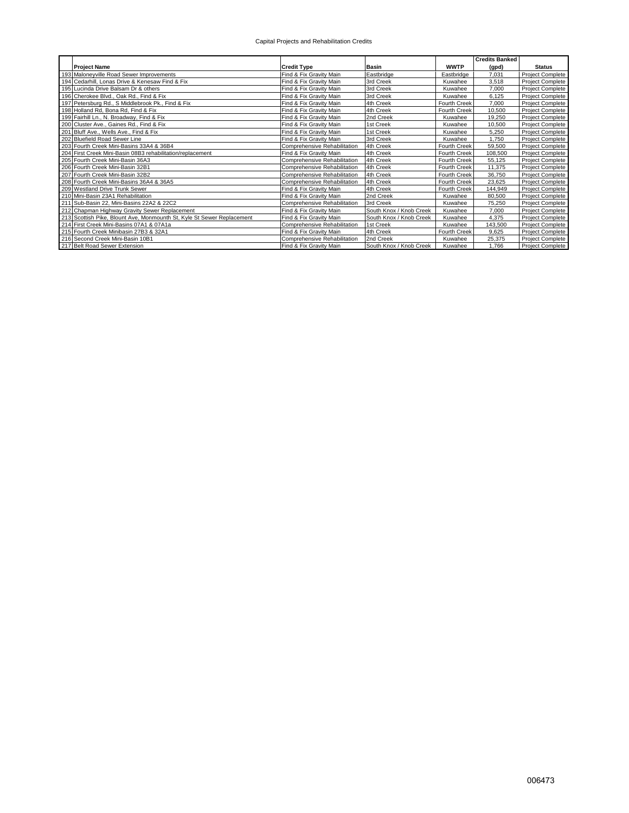|                                                                        |                                     |                         |                     | <b>Credits Banked</b> |                         |
|------------------------------------------------------------------------|-------------------------------------|-------------------------|---------------------|-----------------------|-------------------------|
| <b>Project Name</b>                                                    | <b>Credit Type</b>                  | <b>Basin</b>            | <b>WWTP</b>         | (gpd)                 | <b>Status</b>           |
| 193 Maloneyville Road Sewer Improvements                               | Find & Fix Gravity Main             | Eastbridge              | Eastbridge          | 7.031                 | Project Complete        |
| 194 Cedarhill, Lonas Drive & Kenesaw Find & Fix                        | Find & Fix Gravity Main             | 3rd Creek               | Kuwahee             | 3,518                 | Project Complete        |
| 195 Lucinda Drive Balsam Dr & others                                   | Find & Fix Gravity Main             | 3rd Creek               | Kuwahee             | 7,000                 | Project Complete        |
| 196 Cherokee Blvd., Oak Rd., Find & Fix                                | Find & Fix Gravity Main             | 3rd Creek               | Kuwahee             | 6,125                 | <b>Project Complete</b> |
| 197 Petersburg Rd., S Middlebrook Pk., Find & Fix                      | Find & Fix Gravity Main             | 4th Creek               | Fourth Creek        | 7.000                 | Project Complete        |
| 198 Holland Rd, Bona Rd, Find & Fix                                    | Find & Fix Gravity Main             | 4th Creek               | Fourth Creek        | 10.500                | <b>Project Complete</b> |
| 199 Fairhill Ln., N. Broadway, Find & Fix                              | Find & Fix Gravity Main             | 2nd Creek               | Kuwahee             | 19.250                | <b>Project Complete</b> |
| 200 Cluster Ave., Gaines Rd., Find & Fix                               | Find & Fix Gravity Main             | 1st Creek               | Kuwahee             | 10,500                | Project Complete        |
| 201 Bluff Ave., Wells Ave., Find & Fix                                 | Find & Fix Gravity Main             | 1st Creek               | Kuwahee             | 5,250                 | <b>Project Complete</b> |
| 202 Bluefield Road Sewer Line                                          | Find & Fix Gravity Main             | 3rd Creek               | Kuwahee             | 1.750                 | <b>Project Complete</b> |
| 203 Fourth Creek Mini-Basins 33A4 & 36B4                               | Comprehensive Rehabilitation        | 4th Creek               | Fourth Creek        | 59,500                | Project Complete        |
| 204 First Creek Mini-Basin 08B3 rehabilitation/replacement             | Find & Fix Gravity Main             | 4th Creek               | Fourth Creek        | 108,500               | <b>Project Complete</b> |
| 205 Fourth Creek Mini-Basin 36A3                                       | <b>Comprehensive Rehabilitation</b> | 4th Creek               | Fourth Creek        | 55,125                | <b>Project Complete</b> |
| 206 Fourth Creek Mini-Basin 32B1                                       | Comprehensive Rehabilitation        | 4th Creek               | <b>Fourth Creek</b> | 11,375                | <b>Project Complete</b> |
| 207 Fourth Creek Mini-Basin 32B2                                       | Comprehensive Rehabilitation        | 4th Creek               | Fourth Creek        | 36,750                | Project Complete        |
| 208 Fourth Creek Mini-Basins 36A4 & 36A5                               | Comprehensive Rehabilitation        | 4th Creek               | Fourth Creek        | 23.625                | <b>Project Complete</b> |
| 209 Westland Drive Trunk Sewer                                         | Find & Fix Gravity Main             | 4th Creek               | Fourth Creek        | 144,949               | <b>Project Complete</b> |
| 210 Mini-Basin 23A1 Rehabilitation                                     | Find & Fix Gravity Main             | 2nd Creek               | Kuwahee             | 80,500                | <b>Project Complete</b> |
| 211 Sub-Basin 22, Mini-Basins 22A2 & 22C2                              | Comprehensive Rehabilitation        | 3rd Creek               | Kuwahee             | 75.250                | Project Complete        |
| 212 Chapman Highway Gravity Sewer Replacement                          | Find & Fix Gravity Main             | South Knox / Knob Creek | Kuwahee             | 7,000                 | <b>Project Complete</b> |
| 213 Scottish Pike, Blount Ave, Monmounth St, Kyle St Sewer Replacement | Find & Fix Gravity Main             | South Knox / Knob Creek | Kuwahee             | 4.375                 | Project Complete        |
| 214 First Creek Mini-Basins 07A1 & 07A1a                               | Comprehensive Rehabilitation        | 1st Creek               | Kuwahee             | 143,500               | Project Complete        |
| 215 Fourth Creek Minibasin 27B3 & 32A1                                 | Find & Fix Gravity Main             | 4th Creek               | Fourth Creek        | 9.625                 | Project Complete        |
| 216 Second Creek Mini-Basin 10B1                                       | Comprehensive Rehabilitation        | 2nd Creek               | Kuwahee             | 25,375                | Project Complete        |
| 217 Belt Road Sewer Extension                                          | Find & Fix Gravity Main             | South Knox / Knob Creek | Kuwahee             | 1,766                 | <b>Project Complete</b> |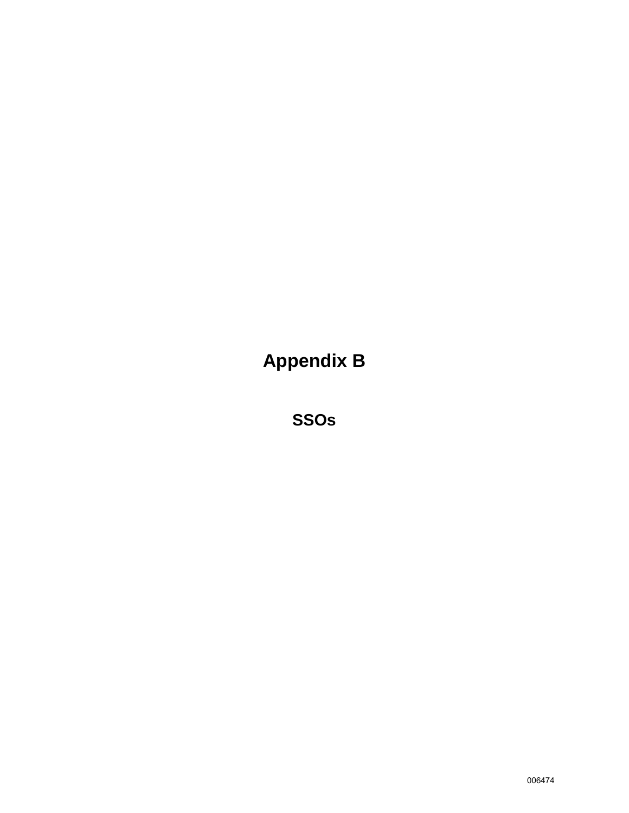**Appendix B**

**SSOs**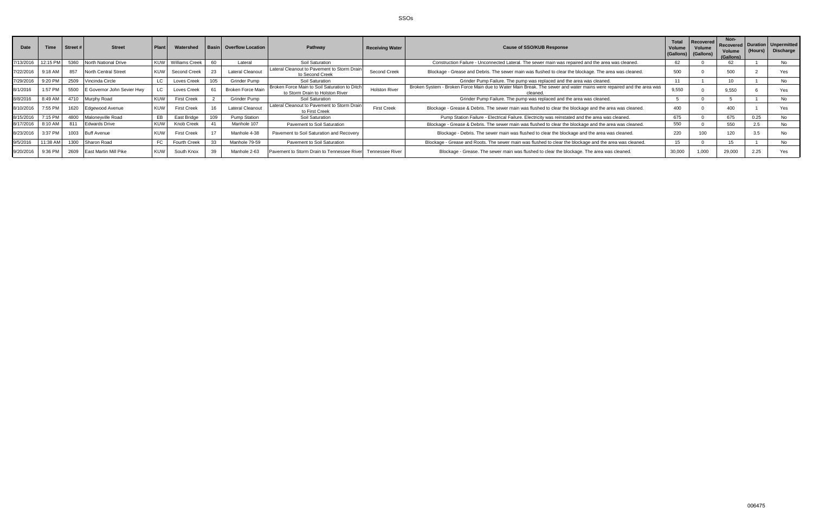SSOs

| <b>Date</b>       | <b>Time</b> | Street# | <b>Street</b>               | <b>Plant</b> | Watershed             |     | <b>Basin Overflow Location</b> | Pathway                                                                          | <b>Receiving Water</b> | <b>Cause of SSO/KUB Response</b>                                                                                               | <b>Total</b><br>Volume<br>(Gallons) | Recovered<br>Volume<br>(Gallons) | Non-<br>Volume<br>(Gallons) | (Hours) | Recovered   Duration   Unpermitted<br>Discharge |
|-------------------|-------------|---------|-----------------------------|--------------|-----------------------|-----|--------------------------------|----------------------------------------------------------------------------------|------------------------|--------------------------------------------------------------------------------------------------------------------------------|-------------------------------------|----------------------------------|-----------------------------|---------|-------------------------------------------------|
| 7/13/2016         | 12:15 PM    | 5360    | <b>North National Drive</b> |              | <b>Williams Creek</b> | 60  | Lateral                        | Soil Saturation                                                                  |                        | Construction Failure - Unconnected Lateral. The sewer main was repaired and the area was cleaned.                              |                                     |                                  | 62                          |         | No                                              |
| 7/22/2016 9:18 AM |             | 857     | North Central Street        | KUW I        | Second Creek          |     | <b>Lateral Cleanout</b>        | Lateral Cleanout to Pavement to Storm Drain<br>to Second Creek                   | Second Creek           | Blockage - Grease and Debris. The sewer main was flushed to clear the blockage. The area was cleaned.                          | 500                                 |                                  | 500                         |         | Yes                                             |
| 7/29/2016 9:20 PM |             | 2509    | Vincinda Circle             |              | Loves Creek           |     | Grinder Pump                   | Soil Saturation                                                                  |                        | Grinder Pump Failure. The pump was replaced and the area was cleaned.                                                          | $\overline{A}$                      |                                  |                             |         | No.                                             |
| 8/1/2016          | 1:57 PM     | 5500    | E Governor John Sevier Hwy  |              | Loves Creek           |     | <b>Broken Force Main</b>       | Broken Force Main to Soil Saturation to Ditch<br>to Storm Drain to Holston River | <b>Holston River</b>   | Broken System - Broken Force Main due to Water Main Break. The sewer and water mains were repaired and the area was<br>cleaned | 9.550                               |                                  | 9,550                       |         | Yes                                             |
| 8/8/2016          | 8:49 AM     | 4710    | Murphy Road                 |              | <b>First Creek</b>    |     | <b>Grinder Pump</b>            | Soil Saturation                                                                  |                        | Grinder Pump Failure. The pump was replaced and the area was cleaned.                                                          |                                     |                                  |                             |         | No                                              |
| 8/10/2016 7:55 PM |             | 1620    | Edgewood Avenue             |              | <b>First Creek</b>    |     | <b>Lateral Cleanout</b>        | Lateral Cleanout to Pavement to Storm Drain<br>to First Creek                    | <b>First Creek</b>     | Blockage - Grease & Debris. The sewer main was flushed to clear the blockage and the area was cleaned.                         | 400                                 |                                  | 400                         |         |                                                 |
| 8/15/2016         | 7:15 PM     | 4800    | Malonevville Road           |              | East Bridge           | 109 | <b>Pump Station</b>            | Soil Saturation                                                                  |                        | Pump Station Failure - Electrical Failure. Electricity was reinstated and the area was cleaned.                                | 675                                 |                                  | 675                         | 0.25    | No.                                             |
| 8/17/2016 8:10 AM |             | 811     | <b>Edwards Drive</b>        |              | <b>Knob Creek</b>     | 41  | Manhole 107                    | Pavement to Soil Saturation                                                      |                        | Blockage - Grease & Debris. The sewer main was flushed to clear the blockage and the area was cleaned.                         | 550                                 |                                  | 550                         | 2.5     | No.                                             |
| 8/23/2016         | 3:37 PM     |         | 1003 Buff Avenue            |              | <b>First Creek</b>    |     | Manhole 4-38                   | Pavement to Soil Saturation and Recovery                                         |                        | Blockage - Debris. The sewer main was flushed to clear the blockage and the area was cleaned.                                  | 220                                 |                                  | 120                         | 3.5     |                                                 |
| 9/5/2016          | 11:38 AM    | 1300    | Sharon Road                 |              | <b>Fourth Creek</b>   | 33  | Manhole 79-59                  | Pavement to Soil Saturation                                                      |                        | Blockage - Grease and Roots. The sewer main was flushed to clear the blockage and the area was cleaned.                        | 15                                  |                                  | 15                          |         | No.                                             |
| 9/20/2016         | $9:36$ PM   | 2609    | East Martin Mill Pike       |              | South Knox            |     | Manhole 2-63                   | Pavement to Storm Drain to Tennessee River                                       | Tennessee River        | Blockage - Grease. The sewer main was flushed to clear the blockage. The area was cleaned.                                     | 30,000                              | 1,000                            | 29,000                      | 2.25    |                                                 |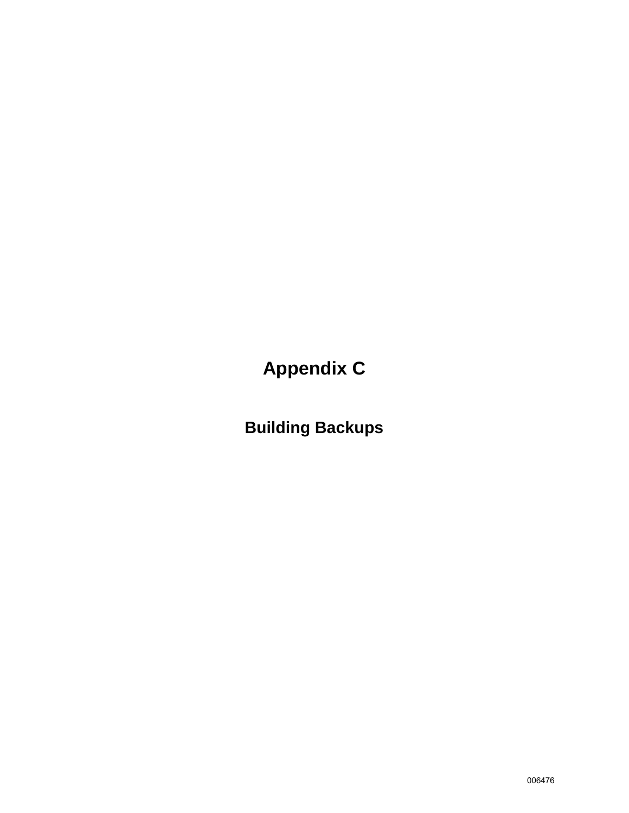**Appendix C**

**Building Backups**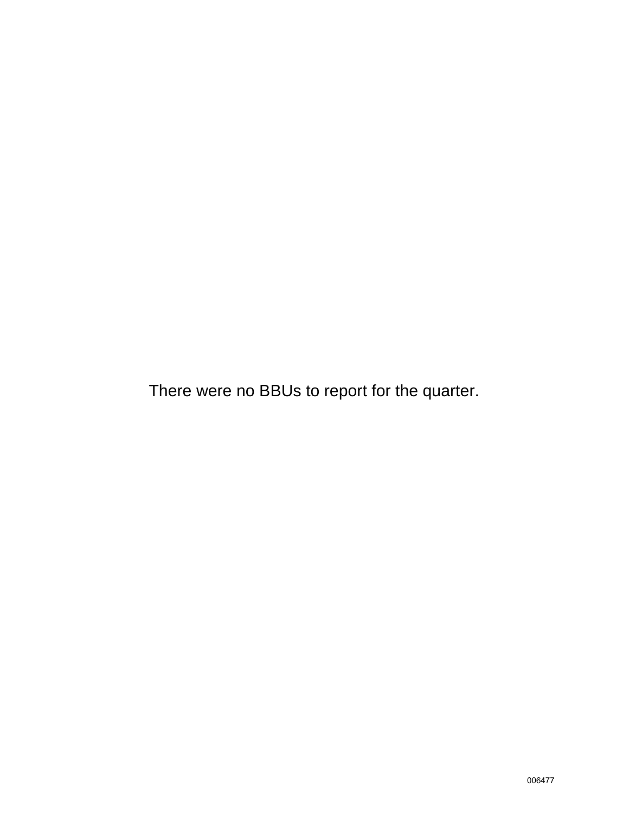There were no BBUs to report for the quarter.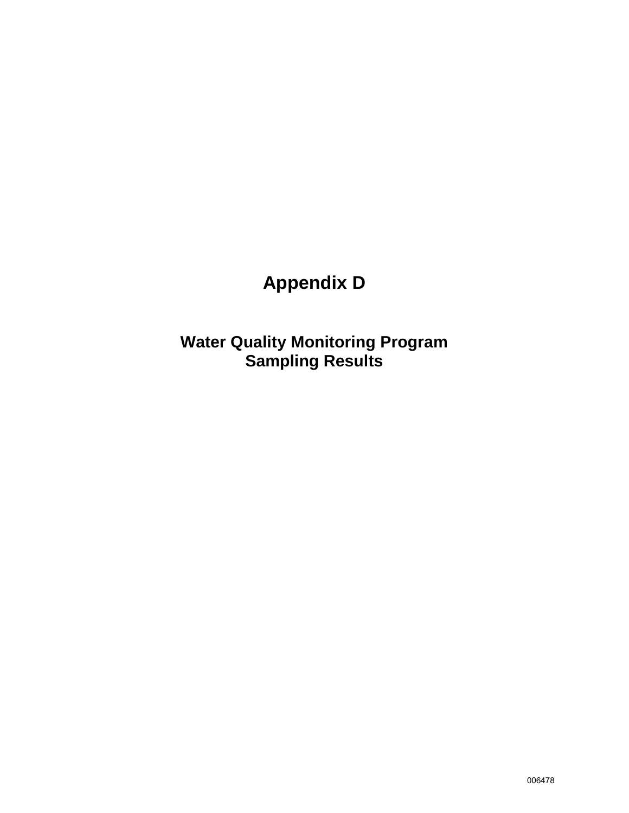# **Appendix D**

**Water Quality Monitoring Program Sampling Results**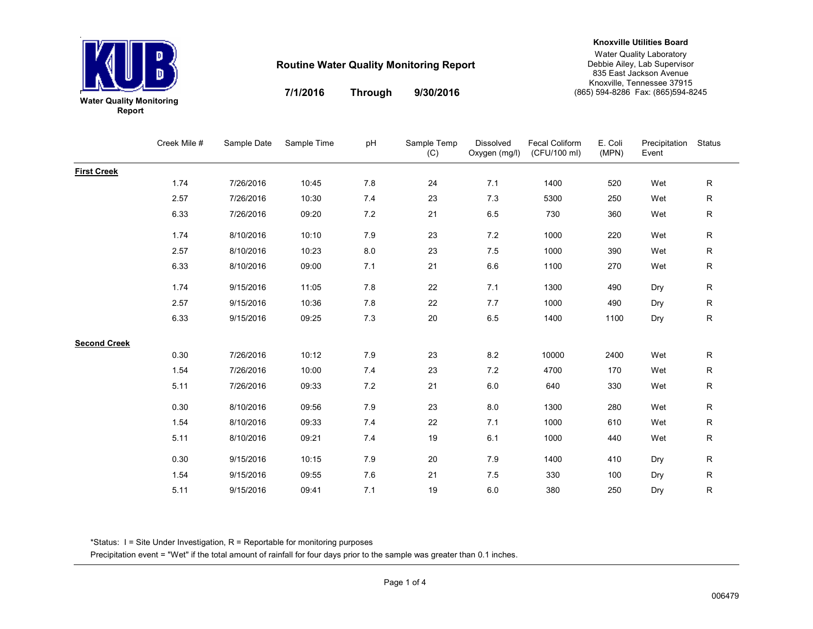

#### **Knoxville Utilities Board**

Water Quality Laboratory Debbie Ailey, Lab Supervisor 835 East Jackson Avenue Knoxville, Tennessee 37915(865) 594-8286 Fax: (865)594-8245

**7/1/2016Through**

**9/30/2016**

|        | ιτer Quality Monitorin |
|--------|------------------------|
| Report |                        |

|                     | Creek Mile # | Sample Date | Sample Time | рH  | Sample Temp<br>(C) | Dissolved<br>Oxygen (mg/l) | <b>Fecal Coliform</b><br>(CFU/100 ml) | E. Coli<br>(MPN) | Precipitation<br>Event | Status       |
|---------------------|--------------|-------------|-------------|-----|--------------------|----------------------------|---------------------------------------|------------------|------------------------|--------------|
| <b>First Creek</b>  |              |             |             |     |                    |                            |                                       |                  |                        |              |
|                     | 1.74         | 7/26/2016   | 10:45       | 7.8 | 24                 | 7.1                        | 1400                                  | 520              | Wet                    | $\mathsf{R}$ |
|                     | 2.57         | 7/26/2016   | 10:30       | 7.4 | 23                 | 7.3                        | 5300                                  | 250              | Wet                    | ${\sf R}$    |
|                     | 6.33         | 7/26/2016   | 09:20       | 7.2 | 21                 | 6.5                        | 730                                   | 360              | Wet                    | ${\sf R}$    |
|                     | 1.74         | 8/10/2016   | 10:10       | 7.9 | 23                 | 7.2                        | 1000                                  | 220              | Wet                    | ${\sf R}$    |
|                     | 2.57         | 8/10/2016   | 10:23       | 8.0 | 23                 | 7.5                        | 1000                                  | 390              | Wet                    | ${\sf R}$    |
|                     | 6.33         | 8/10/2016   | 09:00       | 7.1 | 21                 | 6.6                        | 1100                                  | 270              | Wet                    | ${\sf R}$    |
|                     | 1.74         | 9/15/2016   | 11:05       | 7.8 | 22                 | 7.1                        | 1300                                  | 490              | Dry                    | ${\sf R}$    |
|                     | 2.57         | 9/15/2016   | 10:36       | 7.8 | 22                 | 7.7                        | 1000                                  | 490              | Dry                    | ${\sf R}$    |
|                     | 6.33         | 9/15/2016   | 09:25       | 7.3 | 20                 | 6.5                        | 1400                                  | 1100             | Dry                    | ${\sf R}$    |
| <b>Second Creek</b> |              |             |             |     |                    |                            |                                       |                  |                        |              |
|                     | 0.30         | 7/26/2016   | 10:12       | 7.9 | 23                 | 8.2                        | 10000                                 | 2400             | Wet                    | ${\sf R}$    |
|                     | 1.54         | 7/26/2016   | 10:00       | 7.4 | 23                 | 7.2                        | 4700                                  | 170              | Wet                    | ${\sf R}$    |
|                     | 5.11         | 7/26/2016   | 09:33       | 7.2 | 21                 | 6.0                        | 640                                   | 330              | Wet                    | ${\sf R}$    |
|                     | 0.30         | 8/10/2016   | 09:56       | 7.9 | 23                 | 8.0                        | 1300                                  | 280              | Wet                    | ${\sf R}$    |
|                     | 1.54         | 8/10/2016   | 09:33       | 7.4 | 22                 | 7.1                        | 1000                                  | 610              | Wet                    | ${\sf R}$    |
|                     | 5.11         | 8/10/2016   | 09:21       | 7.4 | 19                 | 6.1                        | 1000                                  | 440              | Wet                    | $\mathsf{R}$ |
|                     | 0.30         | 9/15/2016   | 10:15       | 7.9 | 20                 | 7.9                        | 1400                                  | 410              | Dry                    | ${\sf R}$    |
|                     | 1.54         | 9/15/2016   | 09:55       | 7.6 | 21                 | 7.5                        | 330                                   | 100              | Dry                    | $\mathsf{R}$ |
|                     | 5.11         | 9/15/2016   | 09:41       | 7.1 | 19                 | $6.0\,$                    | 380                                   | 250              | Dry                    | ${\sf R}$    |

\*Status: I = Site Under Investigation, R = Reportable for monitoring purposes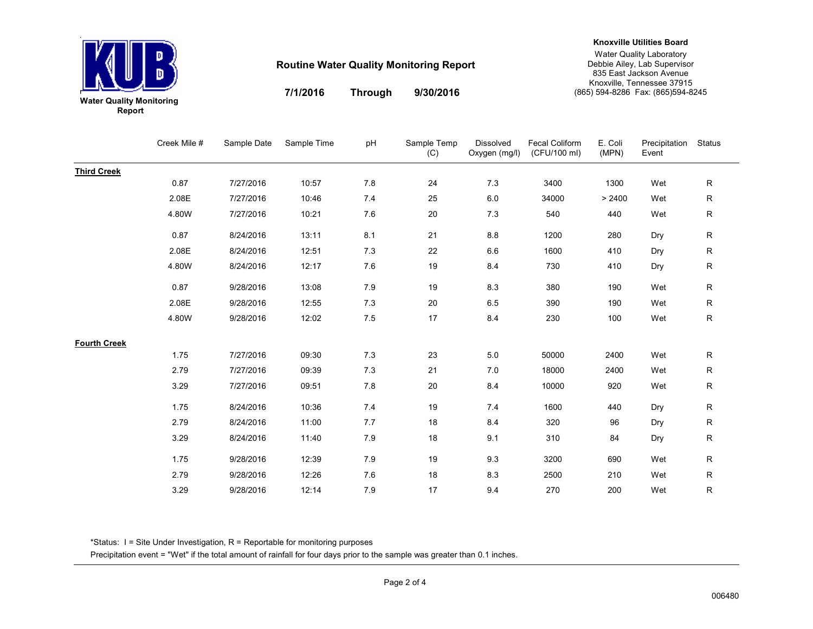

**Through**

**7/1/2016**

**Knoxville Utilities Board**

# **9/30/2016**

Water Quality Laboratory Debbie Ailey, Lab Supervisor 835 East Jackson Avenue Knoxville, Tennessee 37915(865) 594-8286 Fax: (865)594-8245

|                     | Creek Mile # | Sample Date | Sample Time | pH  | Sample Temp<br>(C) | Dissolved<br>Oxygen (mg/l) | Fecal Coliform<br>(CFU/100 ml) | E. Coli<br>(MPN) | Precipitation<br>Event | Status       |
|---------------------|--------------|-------------|-------------|-----|--------------------|----------------------------|--------------------------------|------------------|------------------------|--------------|
| <b>Third Creek</b>  |              |             |             |     |                    |                            |                                |                  |                        |              |
|                     | 0.87         | 7/27/2016   | 10:57       | 7.8 | 24                 | 7.3                        | 3400                           | 1300             | Wet                    | $\mathsf{R}$ |
|                     | 2.08E        | 7/27/2016   | 10:46       | 7.4 | 25                 | $6.0\,$                    | 34000                          | > 2400           | Wet                    | ${\sf R}$    |
|                     | 4.80W        | 7/27/2016   | 10:21       | 7.6 | 20                 | 7.3                        | 540                            | 440              | Wet                    | ${\sf R}$    |
|                     | 0.87         | 8/24/2016   | 13:11       | 8.1 | 21                 | $8.8\,$                    | 1200                           | 280              | Dry                    | ${\sf R}$    |
|                     | 2.08E        | 8/24/2016   | 12:51       | 7.3 | 22                 | 6.6                        | 1600                           | 410              | Dry                    | ${\sf R}$    |
|                     | 4.80W        | 8/24/2016   | 12:17       | 7.6 | 19                 | 8.4                        | 730                            | 410              | Dry                    | ${\sf R}$    |
|                     | 0.87         | 9/28/2016   | 13:08       | 7.9 | 19                 | 8.3                        | 380                            | 190              | Wet                    | $\mathsf{R}$ |
|                     | 2.08E        | 9/28/2016   | 12:55       | 7.3 | 20                 | 6.5                        | 390                            | 190              | Wet                    | $\mathsf{R}$ |
|                     | 4.80W        | 9/28/2016   | 12:02       | 7.5 | 17                 | 8.4                        | 230                            | 100              | Wet                    | ${\sf R}$    |
| <b>Fourth Creek</b> |              |             |             |     |                    |                            |                                |                  |                        |              |
|                     | 1.75         | 7/27/2016   | 09:30       | 7.3 | 23                 | 5.0                        | 50000                          | 2400             | Wet                    | ${\sf R}$    |
|                     | 2.79         | 7/27/2016   | 09:39       | 7.3 | 21                 | 7.0                        | 18000                          | 2400             | Wet                    | $\mathsf{R}$ |
|                     | 3.29         | 7/27/2016   | 09:51       | 7.8 | 20                 | 8.4                        | 10000                          | 920              | Wet                    | ${\sf R}$    |
|                     | 1.75         | 8/24/2016   | 10:36       | 7.4 | 19                 | $7.4$                      | 1600                           | 440              | Dry                    | $\mathsf{R}$ |
|                     | 2.79         | 8/24/2016   | 11:00       | 7.7 | 18                 | 8.4                        | 320                            | 96               | Dry                    | ${\sf R}$    |
|                     | 3.29         | 8/24/2016   | 11:40       | 7.9 | 18                 | 9.1                        | 310                            | 84               | Dry                    | ${\sf R}$    |
|                     | 1.75         | 9/28/2016   | 12:39       | 7.9 | 19                 | 9.3                        | 3200                           | 690              | Wet                    | $\mathsf{R}$ |
|                     | 2.79         | 9/28/2016   | 12:26       | 7.6 | 18                 | 8.3                        | 2500                           | 210              | Wet                    | $\mathsf{R}$ |
|                     | 3.29         | 9/28/2016   | 12:14       | 7.9 | 17                 | 9.4                        | 270                            | 200              | Wet                    | $\mathsf{R}$ |

\*Status: I = Site Under Investigation, R = Reportable for monitoring purposes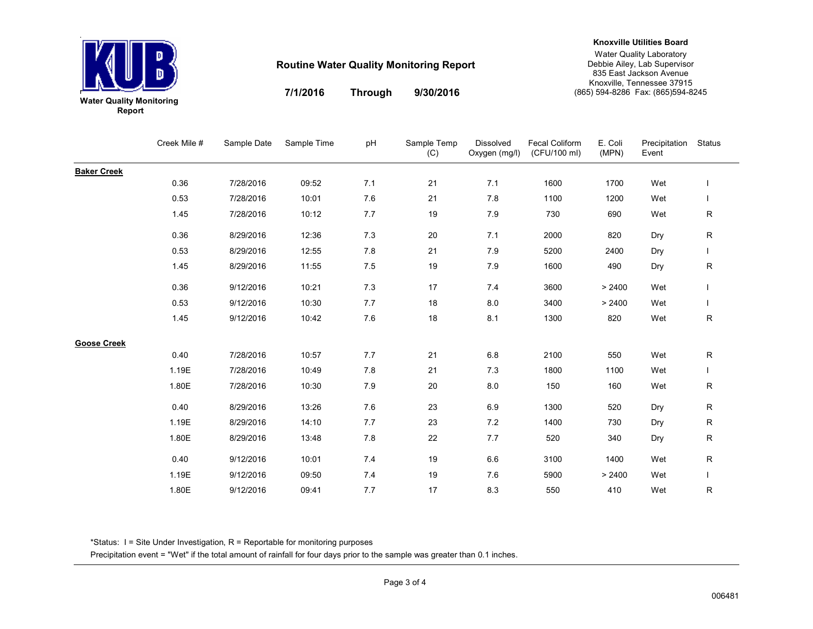

#### **Knoxville Utilities Board**

Water Quality Laboratory Debbie Ailey, Lab Supervisor 835 East Jackson Avenue Knoxville, Tennessee 37915(865) 594-8286 Fax: (865)594-8245

**7/1/2016Through**

**9/30/2016**

| ater Quality Monitorin |  |  |
|------------------------|--|--|
| Report                 |  |  |

|                    | Creek Mile # | Sample Date | Sample Time | рH  | Sample Temp<br>(C) | Dissolved<br>Oxygen (mg/l) | <b>Fecal Coliform</b><br>(CFU/100 ml) | E. Coli<br>(MPN) | Precipitation<br>Event | Status      |
|--------------------|--------------|-------------|-------------|-----|--------------------|----------------------------|---------------------------------------|------------------|------------------------|-------------|
| <b>Baker Creek</b> |              |             |             |     |                    |                            |                                       |                  |                        |             |
|                    | 0.36         | 7/28/2016   | 09:52       | 7.1 | 21                 | 7.1                        | 1600                                  | 1700             | Wet                    |             |
|                    | 0.53         | 7/28/2016   | 10:01       | 7.6 | 21                 | 7.8                        | 1100                                  | 1200             | Wet                    |             |
|                    | 1.45         | 7/28/2016   | 10:12       | 7.7 | 19                 | 7.9                        | 730                                   | 690              | Wet                    | R           |
|                    | 0.36         | 8/29/2016   | 12:36       | 7.3 | 20                 | 7.1                        | 2000                                  | 820              | Dry                    | R           |
|                    | 0.53         | 8/29/2016   | 12:55       | 7.8 | 21                 | 7.9                        | 5200                                  | 2400             | Dry                    |             |
|                    | 1.45         | 8/29/2016   | 11:55       | 7.5 | 19                 | 7.9                        | 1600                                  | 490              | Dry                    | R           |
|                    | 0.36         | 9/12/2016   | 10:21       | 7.3 | 17                 | 7.4                        | 3600                                  | > 2400           | Wet                    |             |
|                    | 0.53         | 9/12/2016   | 10:30       | 7.7 | 18                 | 8.0                        | 3400                                  | > 2400           | Wet                    |             |
|                    | 1.45         | 9/12/2016   | 10:42       | 7.6 | 18                 | 8.1                        | 1300                                  | 820              | Wet                    | $\mathsf R$ |
| <b>Goose Creek</b> |              |             |             |     |                    |                            |                                       |                  |                        |             |
|                    | 0.40         | 7/28/2016   | 10:57       | 7.7 | 21                 | $6.8\,$                    | 2100                                  | 550              | Wet                    | R           |
|                    | 1.19E        | 7/28/2016   | 10:49       | 7.8 | 21                 | 7.3                        | 1800                                  | 1100             | Wet                    |             |
|                    | 1.80E        | 7/28/2016   | 10:30       | 7.9 | 20                 | 8.0                        | 150                                   | 160              | Wet                    | R           |
|                    | 0.40         | 8/29/2016   | 13:26       | 7.6 | 23                 | 6.9                        | 1300                                  | 520              | Dry                    | R           |
|                    | 1.19E        | 8/29/2016   | 14:10       | 7.7 | 23                 | 7.2                        | 1400                                  | 730              | Dry                    | R           |
|                    | 1.80E        | 8/29/2016   | 13:48       | 7.8 | 22                 | 7.7                        | 520                                   | 340              | Dry                    | R           |
|                    | 0.40         | 9/12/2016   | 10:01       | 7.4 | 19                 | 6.6                        | 3100                                  | 1400             | Wet                    | R           |
|                    | 1.19E        | 9/12/2016   | 09:50       | 7.4 | 19                 | 7.6                        | 5900                                  | > 2400           | Wet                    |             |
|                    | 1.80E        | 9/12/2016   | 09:41       | 7.7 | 17                 | 8.3                        | 550                                   | 410              | Wet                    | R           |

\*Status: I = Site Under Investigation, R = Reportable for monitoring purposes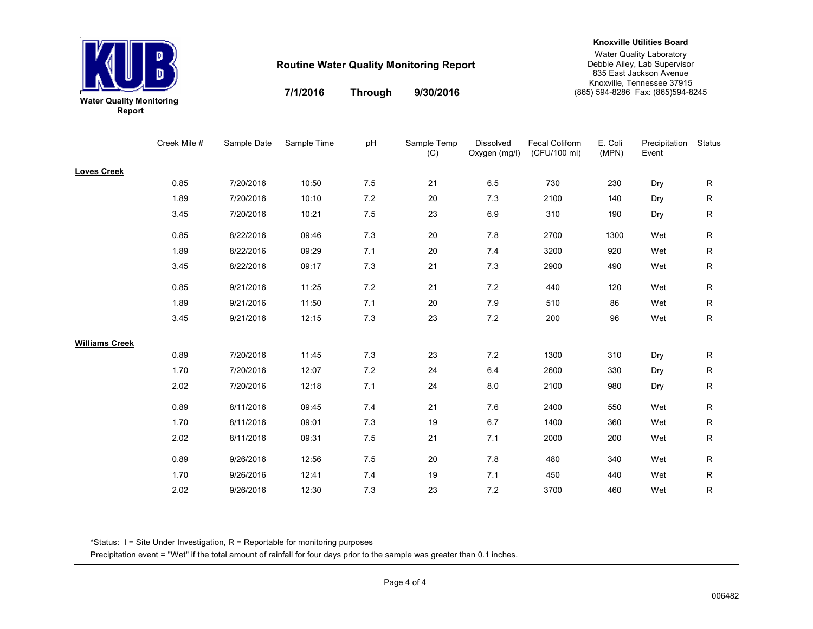

**9/30/2016**

**Through**

**7/1/2016**

**Knoxville Utilities Board**

#### Water Quality Laboratory Debbie Ailey, Lab Supervisor 835 East Jackson Avenue Knoxville, Tennessee 37915(865) 594-8286 Fax: (865)594-8245

Creek Mile # Sample Date Sample Time pH Sample Temp (C)Dissolved Oxygen (mg/l)Fecal Coliform (CFU/100 ml)E. Coli (MPN)Precipitation StatusEvent**Loves Creek**0.85 7/20/2016 10:50 7.5 <sup>21</sup> 6.5 <sup>730</sup> <sup>230</sup> Dry R1.89 7/20/2016 10:10 7.2 <sup>20</sup> 7.3 <sup>2100</sup> <sup>140</sup> Dry R3.45 7/20/2016 10:21 7.5 <sup>23</sup> 6.9 <sup>310</sup> <sup>190</sup> Dry R0.85 8/22/2016 09:46 7.3 <sup>20</sup> 7.8 <sup>2700</sup> <sup>1300</sup> Wet <sup>R</sup> 1.89 8/22/2016 09:29 7.1 <sup>20</sup> 7.4 <sup>3200</sup> <sup>920</sup> Wet <sup>R</sup> 3.45 8/22/2016 09:17 7.3 <sup>21</sup> 7.3 <sup>2900</sup> <sup>490</sup> Wet <sup>R</sup> 0.85 9/21/2016 11:25 7.2 <sup>21</sup> 7.2 <sup>440</sup> <sup>120</sup> Wet <sup>R</sup> 1.89 9/21/2016 11:50 7.1 <sup>20</sup> 7.9 <sup>510</sup> <sup>86</sup> Wet <sup>R</sup> 3.45 9/21/2016 12:15 7.3 <sup>23</sup> 7.2 <sup>200</sup> <sup>96</sup> Wet <sup>R</sup> **Williams Creek**0.89 7/20/2016 11:45 7.3 <sup>23</sup> 7.2 <sup>1300</sup> <sup>310</sup> Dry R1.700 7/20/2016 12:07 7.2 24 6.4 2600 330 Dry R2.02 7/20/2016 12:18 7.1 <sup>24</sup> 8.0 <sup>2100</sup> <sup>980</sup> Dry R0.89 8/11/2016 09:45 7.4 <sup>21</sup> 7.6 <sup>2400</sup> <sup>550</sup> Wet <sup>R</sup> 1.700 8/11/2016 09:01 7.3 19 6.7 1400 360 Wet R 2.022 8/11/2016 09:31 7.5 21 7.1 2000 200 Wet R 0.89 9/26/2016 12:56 7.5 <sup>20</sup> 7.8 <sup>480</sup> <sup>340</sup> Wet <sup>R</sup> 1.700 9/26/2016 12:41 7.4 19 7.1 450 440 Wet R 2.022 9/26/2016 12:30 7.3 23 7.2 3700 460 Wet R

\*Status: I = Site Under Investigation, R = Reportable for monitoring purposes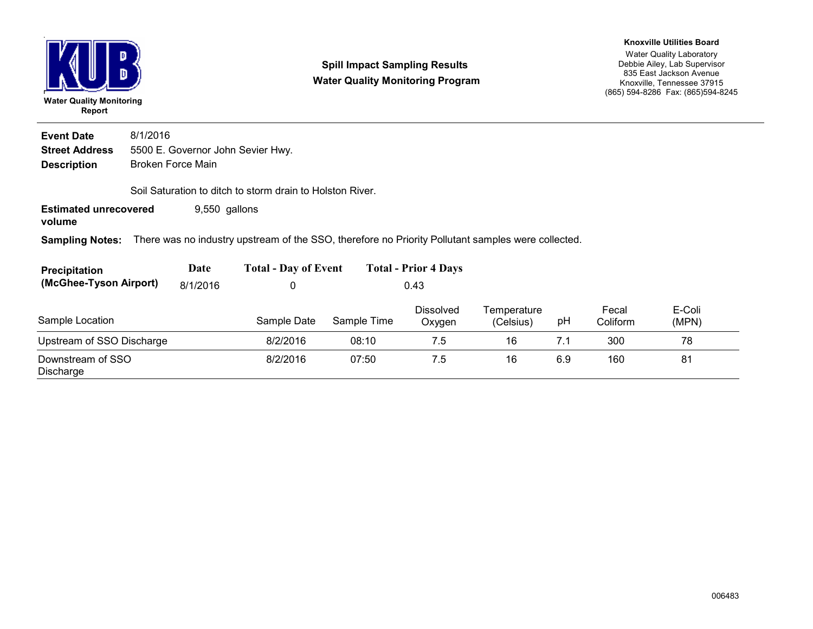

#### **Spill Impact Sampling ResultsWater Quality Monitoring Program**

#### **Knoxville Utilities Board**

Water Quality Laboratory Debbie Ailey, Lab Supervisor 835 East Jackson Avenue Knoxville, Tennessee 37915(865) 594-8286 Fax: (865)594-8245

**Description** Broken Force Main **Street Address** 5500 E. Governor John Sevier Hwy. **Event Date** 8/1/2016 Soil Saturation to ditch to storm drain to Holston River.

**Estimated unrecovered** 9,550 gallons

**volume**

**Sampling Notes:** There was no industry upstream of the SSO, therefore no Priority Pollutant samples were collected.

| <b>Precipitation</b>   | Date     | <b>Total - Day of Event</b> | <b>Total - Prior 4 Days</b> |
|------------------------|----------|-----------------------------|-----------------------------|
| (McGhee-Tyson Airport) | 8/1/2016 |                             | 0.43                        |

| Sample Location                | Sample Date | Sample Time | <b>Dissolved</b><br>Oxygen | Temperature<br>(Celsius) | рH  | Fecal<br>Coliform | E-Coli<br>(MPN) |
|--------------------------------|-------------|-------------|----------------------------|--------------------------|-----|-------------------|-----------------|
| Upstream of SSO Discharge      | 8/2/2016    | 08:10       |                            | 16                       |     | 300               | 78              |
| Downstream of SSO<br>Discharge | 8/2/2016    | 07:50       | 7.5                        | 16                       | 6.9 | 160               | 81              |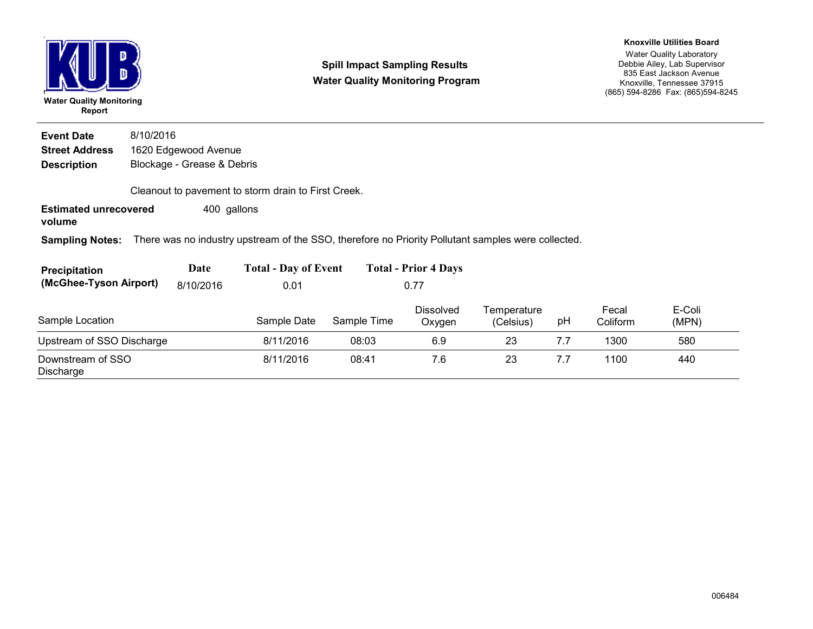| <b>Water Quality Monitoring</b><br>Report |           |                            | <b>Spill Impact Sampling Results</b><br><b>Water Quality Monitoring Program</b>                    |             |                             |                          |     | <b>Knoxville Utilities Board</b><br><b>Water Quality Laboratory</b><br>Debbie Ailey, Lab Supervisor<br>835 East Jackson Avenue<br>Knoxville, Tennessee 37915<br>(865) 594-8286 Fax: (865) 594-8245 |                 |  |  |
|-------------------------------------------|-----------|----------------------------|----------------------------------------------------------------------------------------------------|-------------|-----------------------------|--------------------------|-----|----------------------------------------------------------------------------------------------------------------------------------------------------------------------------------------------------|-----------------|--|--|
| <b>Event Date</b>                         | 8/10/2016 |                            |                                                                                                    |             |                             |                          |     |                                                                                                                                                                                                    |                 |  |  |
| <b>Street Address</b>                     |           | 1620 Edgewood Avenue       |                                                                                                    |             |                             |                          |     |                                                                                                                                                                                                    |                 |  |  |
| <b>Description</b>                        |           | Blockage - Grease & Debris |                                                                                                    |             |                             |                          |     |                                                                                                                                                                                                    |                 |  |  |
|                                           |           |                            | Cleanout to pavement to storm drain to First Creek.                                                |             |                             |                          |     |                                                                                                                                                                                                    |                 |  |  |
| <b>Estimated unrecovered</b><br>volume    |           | 400 gallons                |                                                                                                    |             |                             |                          |     |                                                                                                                                                                                                    |                 |  |  |
| <b>Sampling Notes:</b>                    |           |                            | There was no industry upstream of the SSO, therefore no Priority Pollutant samples were collected. |             |                             |                          |     |                                                                                                                                                                                                    |                 |  |  |
| <b>Precipitation</b>                      |           | Date                       | <b>Total - Day of Event</b>                                                                        |             | <b>Total - Prior 4 Days</b> |                          |     |                                                                                                                                                                                                    |                 |  |  |
| (McGhee-Tyson Airport)                    |           | 8/10/2016                  | 0.01                                                                                               |             | 0.77                        |                          |     |                                                                                                                                                                                                    |                 |  |  |
| Sample Location                           |           |                            | Sample Date                                                                                        | Sample Time | <b>Dissolved</b><br>Oxygen  | Temperature<br>(Celsius) | рH  | Fecal<br>Coliform                                                                                                                                                                                  | E-Coli<br>(MPN) |  |  |
| Upstream of SSO Discharge                 |           |                            | 8/11/2016                                                                                          | 08:03       | 6.9                         | 23                       | 7.7 | 1300                                                                                                                                                                                               | 580             |  |  |
| Downstream of SSO<br>Discharge            |           |                            | 8/11/2016                                                                                          | 08:41       | 7.6                         | 23                       | 7.7 | 1100                                                                                                                                                                                               | 440             |  |  |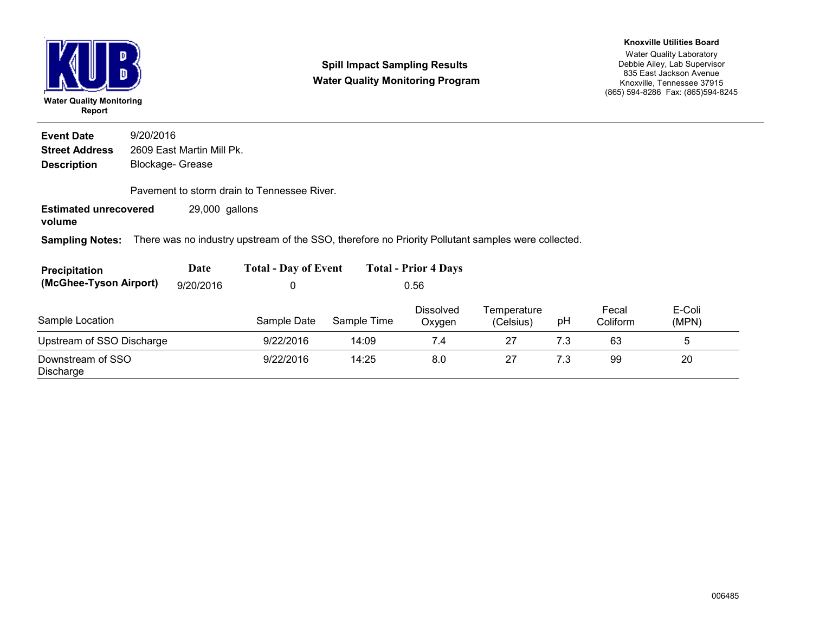

**Spill Impact Sampling ResultsWater Quality Monitoring Program**

#### **Knoxville Utilities Board**

Water Quality Laboratory Debbie Ailey, Lab Supervisor 835 East Jackson Avenue Knoxville, Tennessee 37915(865) 594-8286 Fax: (865)594-8245

**Description** Blockage- Grease **Street Address** 2609 East Martin Mill Pk. **Event Date**9/20/2016

Pavement to storm drain to Tennessee River.

**Estimated unrecovered** 29,000 gallons

**volume**

**Sampling Notes:** There was no industry upstream of the SSO, therefore no Priority Pollutant samples were collected.

| <b>Precipitation</b>               | Date | <b>Total - Day of Event</b> | <b>Total - Prior 4 Days</b> |  |
|------------------------------------|------|-----------------------------|-----------------------------|--|
| (McGhee-Tyson Airport) $9/20/2016$ |      |                             | 0.56                        |  |

| Sample Location                | Sample Date | Sample Time | <b>Dissolved</b><br>Oxygen | Temperature<br>(Celsius) | рH  | Fecal<br>Coliform | E-Coli<br>(MPN) |
|--------------------------------|-------------|-------------|----------------------------|--------------------------|-----|-------------------|-----------------|
| Upstream of SSO Discharge      | 9/22/2016   | 14:09       | 7.4                        | 27                       |     | 63                |                 |
| Downstream of SSO<br>Discharge | 9/22/2016   | 14:25       | 8.0                        | 27                       | 7.3 | 99                | 20              |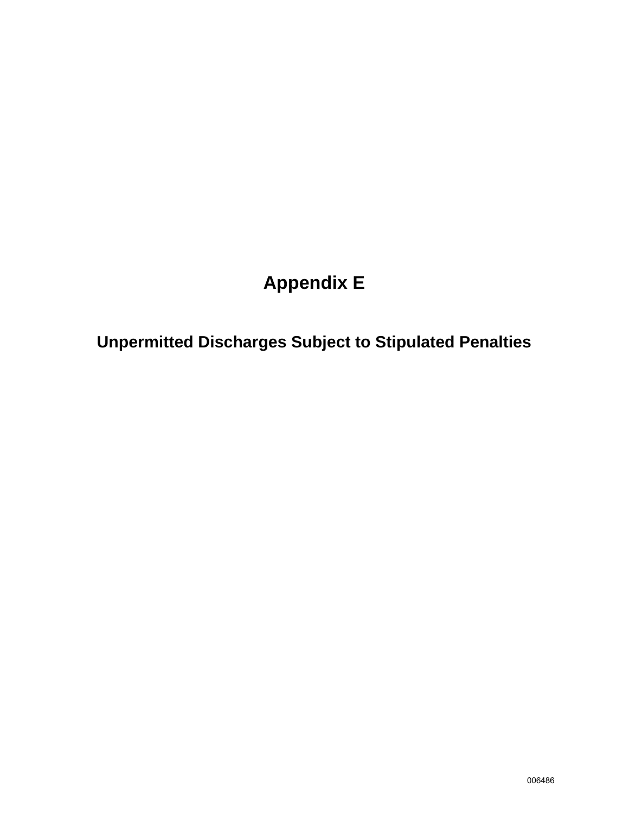# **Appendix E**

**Unpermitted Discharges Subject to Stipulated Penalties**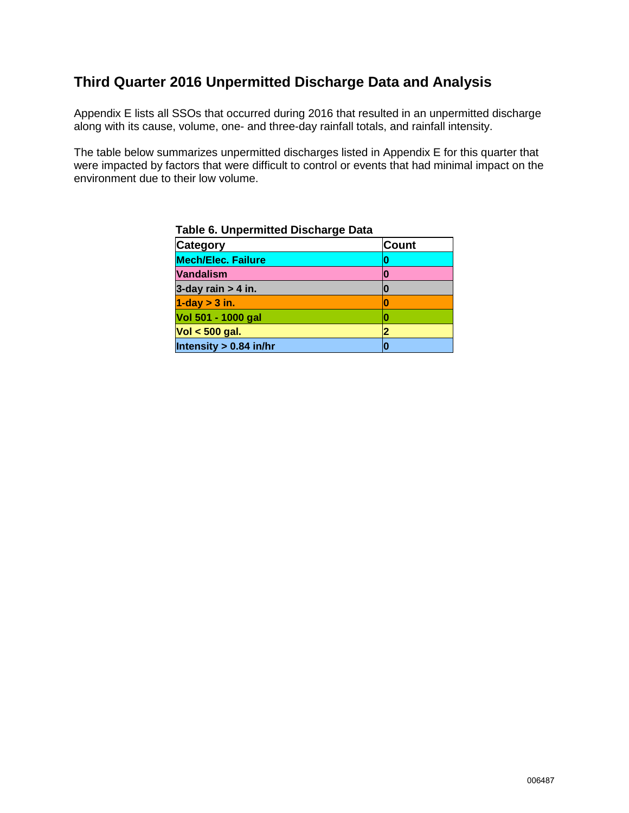### **Third Quarter 2016 Unpermitted Discharge Data and Analysis**

Appendix E lists all SSOs that occurred during 2016 that resulted in an unpermitted discharge along with its cause, volume, one- and three-day rainfall totals, and rainfall intensity.

The table below summarizes unpermitted discharges listed in Appendix E for this quarter that were impacted by factors that were difficult to control or events that had minimal impact on the environment due to their low volume.

| <b>Category</b>           | <b>Count</b> |
|---------------------------|--------------|
| <b>Mech/Elec. Failure</b> |              |
| <b>Vandalism</b>          |              |
| 3-day rain $> 4$ in.      |              |
| $1$ -day $>$ 3 in.        | O            |
| Vol 501 - 1000 gal        |              |
| $Vol < 500$ gal.          |              |
| Intensity $> 0.84$ in/hr  |              |

**Table 6. Unpermitted Discharge Data**